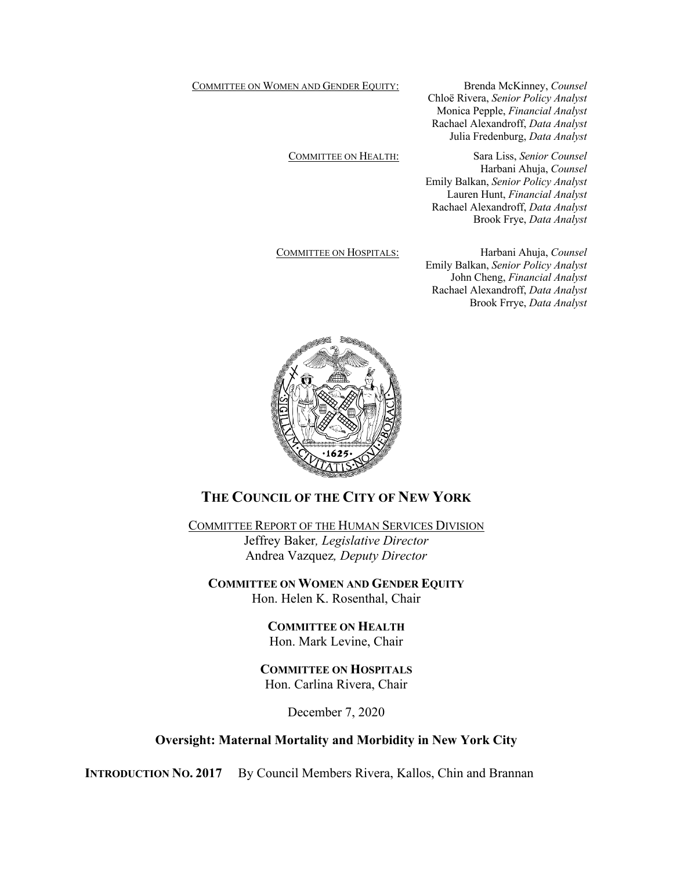#### COMMITTEE ON WOMEN AND GENDER EQUITY: Brenda McKinney, *Counsel*

Chloë Rivera, *Senior Policy Analyst* Monica Pepple, *Financial Analyst* Rachael Alexandroff, *Data Analyst* Julia Fredenburg, *Data Analyst*

COMMITTEE ON HEALTH: Sara Liss, *Senior Counsel* Harbani Ahuja, *Counsel* Emily Balkan, *Senior Policy Analyst* Lauren Hunt, *Financial Analyst* Rachael Alexandroff, *Data Analyst* Brook Frye, *Data Analyst*

COMMITTEE ON HOSPITALS: Harbani Ahuja, *Counsel* Emily Balkan, *Senior Policy Analyst* John Cheng, *Financial Analyst* Rachael Alexandroff, *Data Analyst* Brook Frrye, *Data Analyst*



# **THE COUNCIL OF THE CITY OF NEW YORK**

COMMITTEE REPORT OF THE HUMAN SERVICES DIVISION Jeffrey Baker*, Legislative Director*  Andrea Vazquez*, Deputy Director*

**COMMITTEE ON WOMEN AND GENDER EQUITY** Hon. Helen K. Rosenthal, Chair

> **COMMITTEE ON HEALTH** Hon. Mark Levine, Chair

**COMMITTEE ON HOSPITALS** Hon. Carlina Rivera, Chair

December 7, 2020

## **Oversight: Maternal Mortality and Morbidity in New York City**

**INTRODUCTION NO. 2017** By Council Members Rivera, Kallos, Chin and Brannan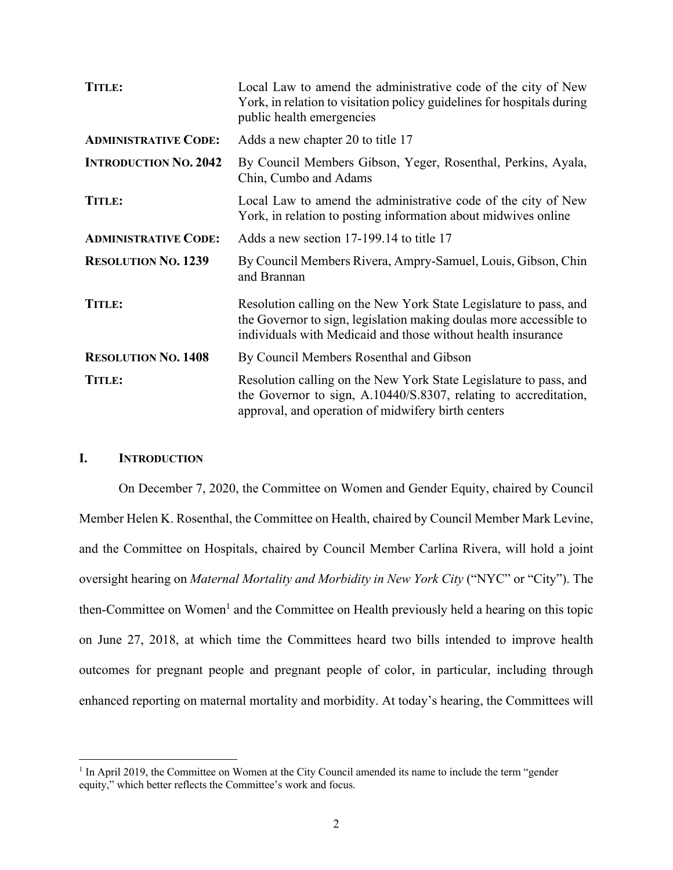| TITLE:                       | Local Law to amend the administrative code of the city of New<br>York, in relation to visitation policy guidelines for hospitals during<br>public health emergencies                                    |  |
|------------------------------|---------------------------------------------------------------------------------------------------------------------------------------------------------------------------------------------------------|--|
| <b>ADMINISTRATIVE CODE:</b>  | Adds a new chapter 20 to title 17                                                                                                                                                                       |  |
| <b>INTRODUCTION NO. 2042</b> | By Council Members Gibson, Yeger, Rosenthal, Perkins, Ayala,<br>Chin, Cumbo and Adams                                                                                                                   |  |
| TITLE:                       | Local Law to amend the administrative code of the city of New<br>York, in relation to posting information about midwives online                                                                         |  |
| <b>ADMINISTRATIVE CODE:</b>  | Adds a new section 17-199.14 to title 17                                                                                                                                                                |  |
| <b>RESOLUTION NO. 1239</b>   | By Council Members Rivera, Ampry-Samuel, Louis, Gibson, Chin<br>and Brannan                                                                                                                             |  |
| TITLE:                       | Resolution calling on the New York State Legislature to pass, and<br>the Governor to sign, legislation making doulas more accessible to<br>individuals with Medicaid and those without health insurance |  |
| <b>RESOLUTION NO. 1408</b>   | By Council Members Rosenthal and Gibson                                                                                                                                                                 |  |
| TITLE:                       | Resolution calling on the New York State Legislature to pass, and<br>the Governor to sign, A.10440/S.8307, relating to accreditation,<br>approval, and operation of midwifery birth centers             |  |

# **I. INTRODUCTION**

On December 7, 2020, the Committee on Women and Gender Equity, chaired by Council Member Helen K. Rosenthal, the Committee on Health, chaired by Council Member Mark Levine, and the Committee on Hospitals, chaired by Council Member Carlina Rivera, will hold a joint oversight hearing on *Maternal Mortality and Morbidity in New York City* ("NYC" or "City"). The then-Committee on Women<sup>1</sup> and the Committee on Health previously held a hearing on this topic on June 27, 2018, at which time the Committees heard two bills intended to improve health outcomes for pregnant people and pregnant people of color, in particular, including through enhanced reporting on maternal mortality and morbidity. At today's hearing, the Committees will

<sup>&</sup>lt;sup>1</sup> In April 2019, the Committee on Women at the City Council amended its name to include the term "gender" equity," which better reflects the Committee's work and focus.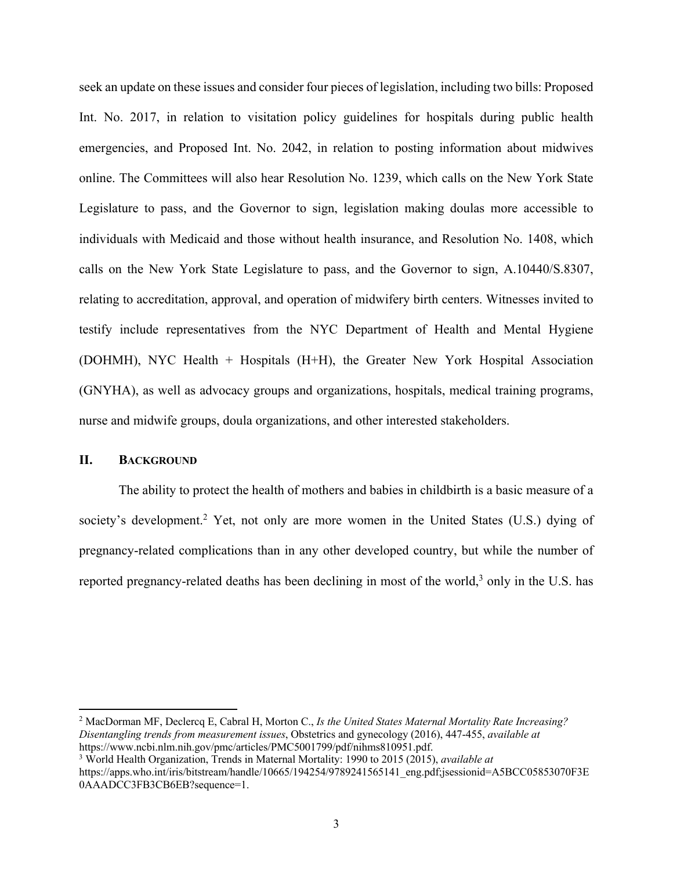seek an update on these issues and consider four pieces of legislation, including two bills: Proposed Int. No. 2017, in relation to visitation policy guidelines for hospitals during public health emergencies, and Proposed Int. No. 2042, in relation to posting information about midwives online. The Committees will also hear Resolution No. 1239, which calls on the New York State Legislature to pass, and the Governor to sign, legislation making doulas more accessible to individuals with Medicaid and those without health insurance, and Resolution No. 1408, which calls on the New York State Legislature to pass, and the Governor to sign, A.10440/S.8307, relating to accreditation, approval, and operation of midwifery birth centers. Witnesses invited to testify include representatives from the NYC Department of Health and Mental Hygiene (DOHMH), NYC Health + Hospitals (H+H), the Greater New York Hospital Association (GNYHA), as well as advocacy groups and organizations, hospitals, medical training programs, nurse and midwife groups, doula organizations, and other interested stakeholders.

# **II. BACKGROUND**

The ability to protect the health of mothers and babies in childbirth is a basic measure of a society's development.<sup>2</sup> Yet, not only are more women in the United States (U.S.) dying of pregnancy-related complications than in any other developed country, but while the number of reported pregnancy-related deaths has been declining in most of the world,<sup>3</sup> only in the U.S. has

<sup>2</sup> MacDorman MF, Declercq E, Cabral H, Morton C., *Is the United States Maternal Mortality Rate Increasing? Disentangling trends from measurement issues*, Obstetrics and gynecology (2016), 447-455, *available at*  https://www.ncbi.nlm.nih.gov/pmc/articles/PMC5001799/pdf/nihms810951.pdf.

<sup>3</sup> World Health Organization, Trends in Maternal Mortality: 1990 to 2015 (2015), *available at*  https://apps.who.int/iris/bitstream/handle/10665/194254/9789241565141\_eng.pdf;jsessionid=A5BCC05853070F3E 0AAADCC3FB3CB6EB?sequence=1.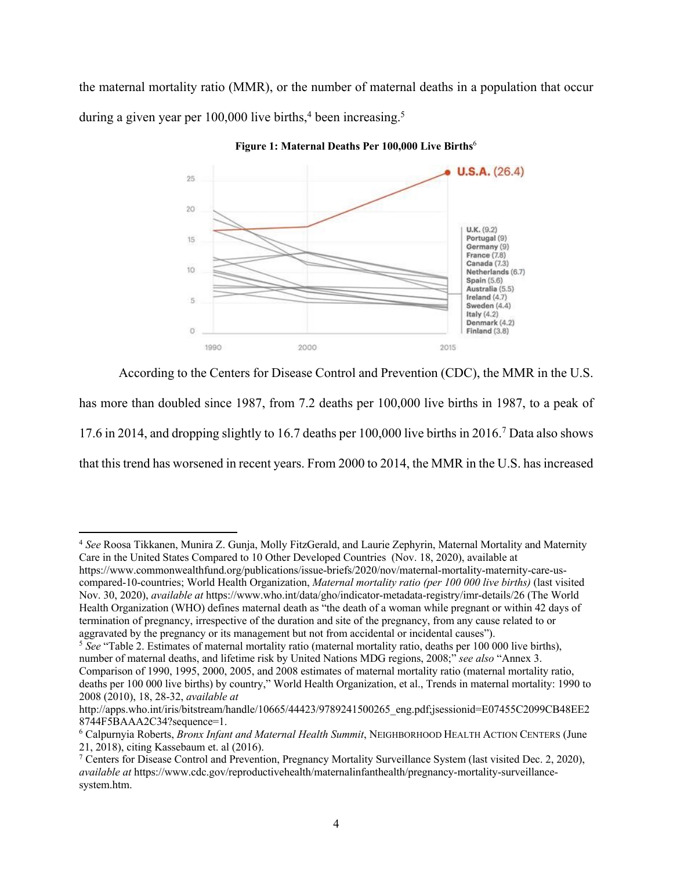the maternal mortality ratio (MMR), or the number of maternal deaths in a population that occur during a given year per  $100,000$  live births,<sup>4</sup> been increasing.<sup>5</sup>



**Figure 1: Maternal Deaths Per 100,000 Live Births**<sup>6</sup>

According to the Centers for Disease Control and Prevention (CDC), the MMR in the U.S.

has more than doubled since 1987, from 7.2 deaths per 100,000 live births in 1987, to a peak of 17.6 in 2014, and dropping slightly to 16.7 deaths per 100,000 live births in 2016. <sup>7</sup> Data also shows that this trend has worsened in recent years. From 2000 to 2014, the MMR in the U.S. has increased

https://www.commonwealthfund.org/publications/issue-briefs/2020/nov/maternal-mortality-maternity-care-uscompared-10-countries; World Health Organization, *Maternal mortality ratio (per 100 000 live births)* (last visited Nov. 30, 2020), *available at* https://www.who.int/data/gho/indicator-metadata-registry/imr-details/26 (The World Health Organization (WHO) defines maternal death as "the death of a woman while pregnant or within 42 days of termination of pregnancy, irrespective of the duration and site of the pregnancy, from any cause related to or aggravated by the pregnancy or its management but not from accidental or incidental causes").

<sup>5</sup> *See* "Table 2. Estimates of maternal mortality ratio (maternal mortality ratio, deaths per 100 000 live births), number of maternal deaths, and lifetime risk by United Nations MDG regions, 2008;" *see also* "Annex 3. Comparison of 1990, 1995, 2000, 2005, and 2008 estimates of maternal mortality ratio (maternal mortality ratio,

<sup>4</sup> *See* Roosa Tikkanen, Munira Z. Gunja, Molly FitzGerald, and Laurie Zephyrin, Maternal Mortality and Maternity Care in the United States Compared to 10 Other Developed Countries (Nov. 18, 2020), available at

deaths per 100 000 live births) by country," World Health Organization, et al., Trends in maternal mortality: 1990 to 2008 (2010), 18, 28-32, *available at*

http://apps.who.int/iris/bitstream/handle/10665/44423/9789241500265\_eng.pdf;jsessionid=E07455C2099CB48EE2 8744F5BAAA2C34?sequence=1.

<sup>6</sup> Calpurnyia Roberts, *Bronx Infant and Maternal Health Summit*, NEIGHBORHOOD HEALTH ACTION CENTERS (June 21, 2018), citing Kassebaum et. al (2016).

<sup>&</sup>lt;sup>7</sup> Centers for Disease Control and Prevention, Pregnancy Mortality Surveillance System (last visited Dec. 2, 2020), *available at* https://www.cdc.gov/reproductivehealth/maternalinfanthealth/pregnancy-mortality-surveillancesystem.htm.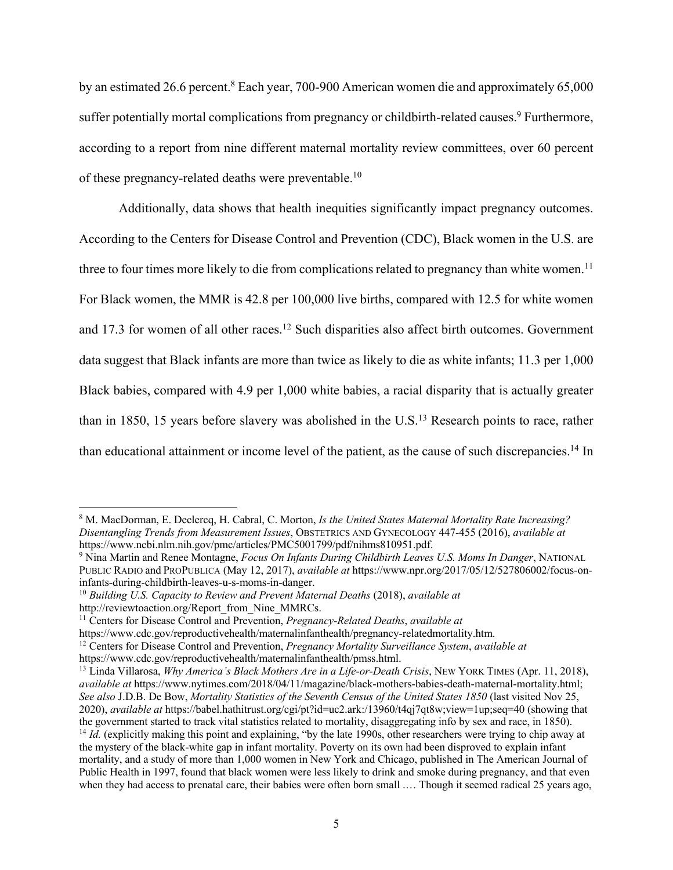by an estimated 26.6 percent. <sup>8</sup> Each year, 700-900 American women die and approximately 65,000 suffer potentially mortal complications from pregnancy or childbirth-related causes.<sup>9</sup> Furthermore, according to a report from nine different maternal mortality review committees, over 60 percent of these pregnancy-related deaths were preventable.10

Additionally, data shows that health inequities significantly impact pregnancy outcomes. According to the Centers for Disease Control and Prevention (CDC), Black women in the U.S. are three to four times more likely to die from complications related to pregnancy than white women.<sup>11</sup> For Black women, the MMR is 42.8 per 100,000 live births, compared with 12.5 for white women and 17.3 for women of all other races.<sup>12</sup> Such disparities also affect birth outcomes. Government data suggest that Black infants are more than twice as likely to die as white infants; 11.3 per 1,000 Black babies, compared with 4.9 per 1,000 white babies, a racial disparity that is actually greater than in 1850, 15 years before slavery was abolished in the U.S. <sup>13</sup> Research points to race, rather than educational attainment or income level of the patient, as the cause of such discrepancies.14 In

<sup>8</sup> M. MacDorman, E. Declercq, H. Cabral, C. Morton, *Is the United States Maternal Mortality Rate Increasing? Disentangling Trends from Measurement Issues*, OBSTETRICS AND GYNECOLOGY 447-455 (2016), *available at*  https://www.ncbi.nlm.nih.gov/pmc/articles/PMC5001799/pdf/nihms810951.pdf.

<sup>9</sup> Nina Martin and Renee Montagne, *Focus On Infants During Childbirth Leaves U.S. Moms In Danger*, NATIONAL PUBLIC RADIO and PROPUBLICA (May 12, 2017), *available at* https://www.npr.org/2017/05/12/527806002/focus-oninfants-during-childbirth-leaves-u-s-moms-in-danger. 10 *Building U.S. Capacity to Review and Prevent Maternal Deaths* (2018), *available at*

http://reviewtoaction.org/Report\_from\_Nine\_MMRCs.

<sup>11</sup> Centers for Disease Control and Prevention, *Pregnancy-Related Deaths*, *available at*

https://www.cdc.gov/reproductivehealth/maternalinfanthealth/pregnancy-relatedmortality.htm.

<sup>&</sup>lt;sup>12</sup> Centers for Disease Control and Prevention, *Pregnancy Mortality Surveillance System*, *available at* https://www.cdc.gov/reproductivehealth/maternalinfanthealth/pmss.html.

<sup>&</sup>lt;sup>13</sup> Linda Villarosa, *Why America's Black Mothers Are in a Life-or-Death Crisis*, NEW YORK TIMES (Apr. 11, 2018), *available at* https://www.nytimes.com/2018/04/11/magazine/black-mothers-babies-death-maternal-mortality.html; *See also* J.D.B. De Bow, *Mortality Statistics of the Seventh Census of the United States 1850* (last visited Nov 25, 2020), *available at* https://babel.hathitrust.org/cgi/pt?id=uc2.ark:/13960/t4qj7qt8w;view=1up;seq=40 (showing that the government started to track vital statistics related to mortality, disaggregating info by sex and race, in 1850). <sup>14</sup> *Id.* (explicitly making this point and explaining, "by the late 1990s, other researchers were trying to chip away at the mystery of the black-white gap in infant mortality. Poverty on its own had been disproved to explain infant mortality, and a study of more than 1,000 women in New York and Chicago, published in The American Journal of Public Health in 1997, found that black women were less likely to drink and smoke during pregnancy, and that even when they had access to prenatal care, their babies were often born small .... Though it seemed radical 25 years ago,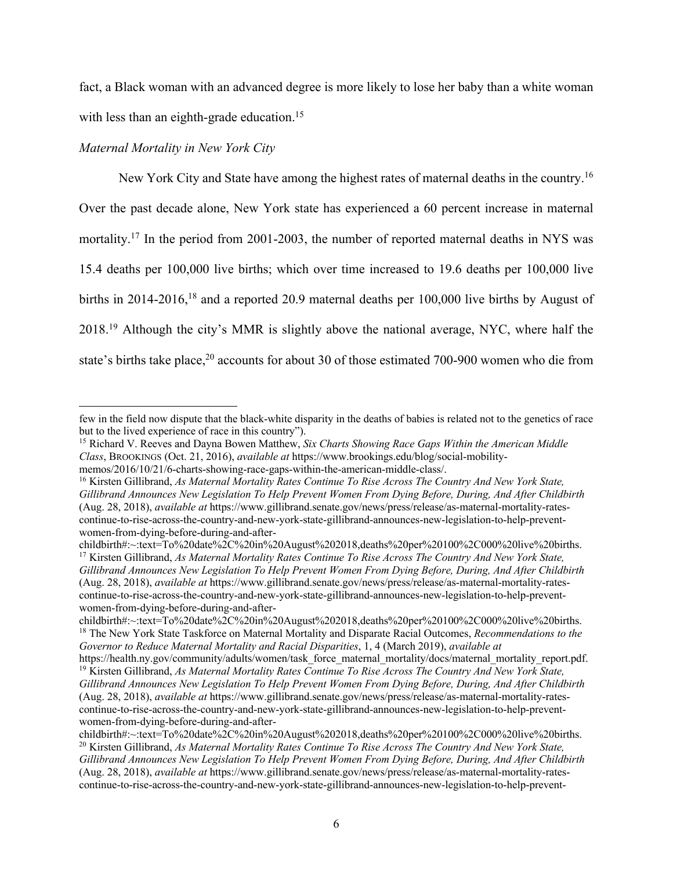fact, a Black woman with an advanced degree is more likely to lose her baby than a white woman with less than an eighth-grade education.<sup>15</sup>

## *Maternal Mortality in New York City*

New York City and State have among the highest rates of maternal deaths in the country.<sup>16</sup> Over the past decade alone, New York state has experienced a 60 percent increase in maternal mortality.17 In the period from 2001-2003, the number of reported maternal deaths in NYS was 15.4 deaths per 100,000 live births; which over time increased to 19.6 deaths per 100,000 live births in 2014-2016,<sup>18</sup> and a reported 20.9 maternal deaths per 100,000 live births by August of 2018.19 Although the city's MMR is slightly above the national average, NYC, where half the state's births take place,<sup>20</sup> accounts for about 30 of those estimated 700-900 women who die from

few in the field now dispute that the black-white disparity in the deaths of babies is related not to the genetics of race but to the lived experience of race in this country").

<sup>15</sup> Richard V. Reeves and Dayna Bowen Matthew, *Six Charts Showing Race Gaps Within the American Middle Class*, BROOKINGS (Oct. 21, 2016), *available at* https://www.brookings.edu/blog/social-mobility-

memos/2016/10/21/6-charts-showing-race-gaps-within-the-american-middle-class/.

<sup>16</sup> Kirsten Gillibrand, *As Maternal Mortality Rates Continue To Rise Across The Country And New York State, Gillibrand Announces New Legislation To Help Prevent Women From Dying Before, During, And After Childbirth* (Aug. 28, 2018), *available at* https://www.gillibrand.senate.gov/news/press/release/as-maternal-mortality-ratescontinue-to-rise-across-the-country-and-new-york-state-gillibrand-announces-new-legislation-to-help-preventwomen-from-dying-before-during-and-after-

childbirth#:~:text=To%20date%2C%20in%20August%202018,deaths%20per%20100%2C000%20live%20births. <sup>17</sup> Kirsten Gillibrand, *As Maternal Mortality Rates Continue To Rise Across The Country And New York State, Gillibrand Announces New Legislation To Help Prevent Women From Dying Before, During, And After Childbirth* (Aug. 28, 2018), *available at* https://www.gillibrand.senate.gov/news/press/release/as-maternal-mortality-ratescontinue-to-rise-across-the-country-and-new-york-state-gillibrand-announces-new-legislation-to-help-preventwomen-from-dying-before-during-and-after-

childbirth#:~:text=To%20date%2C%20in%20August%202018,deaths%20per%20100%2C000%20live%20births. <sup>18</sup> The New York State Taskforce on Maternal Mortality and Disparate Racial Outcomes, *Recommendations to the Governor to Reduce Maternal Mortality and Racial Disparities*, 1, 4 (March 2019), *available at* 

https://health.ny.gov/community/adults/women/task\_force\_maternal\_mortality/docs/maternal\_mortality\_report.pdf. <sup>19</sup> Kirsten Gillibrand, *As Maternal Mortality Rates Continue To Rise Across The Country And New York State,* 

*Gillibrand Announces New Legislation To Help Prevent Women From Dying Before, During, And After Childbirth* (Aug. 28, 2018), *available at* https://www.gillibrand.senate.gov/news/press/release/as-maternal-mortality-ratescontinue-to-rise-across-the-country-and-new-york-state-gillibrand-announces-new-legislation-to-help-preventwomen-from-dying-before-during-and-after-

childbirth#:~:text=To%20date%2C%20in%20August%202018,deaths%20per%20100%2C000%20live%20births. <sup>20</sup> Kirsten Gillibrand, *As Maternal Mortality Rates Continue To Rise Across The Country And New York State, Gillibrand Announces New Legislation To Help Prevent Women From Dying Before, During, And After Childbirth* (Aug. 28, 2018), *available at* https://www.gillibrand.senate.gov/news/press/release/as-maternal-mortality-ratescontinue-to-rise-across-the-country-and-new-york-state-gillibrand-announces-new-legislation-to-help-prevent-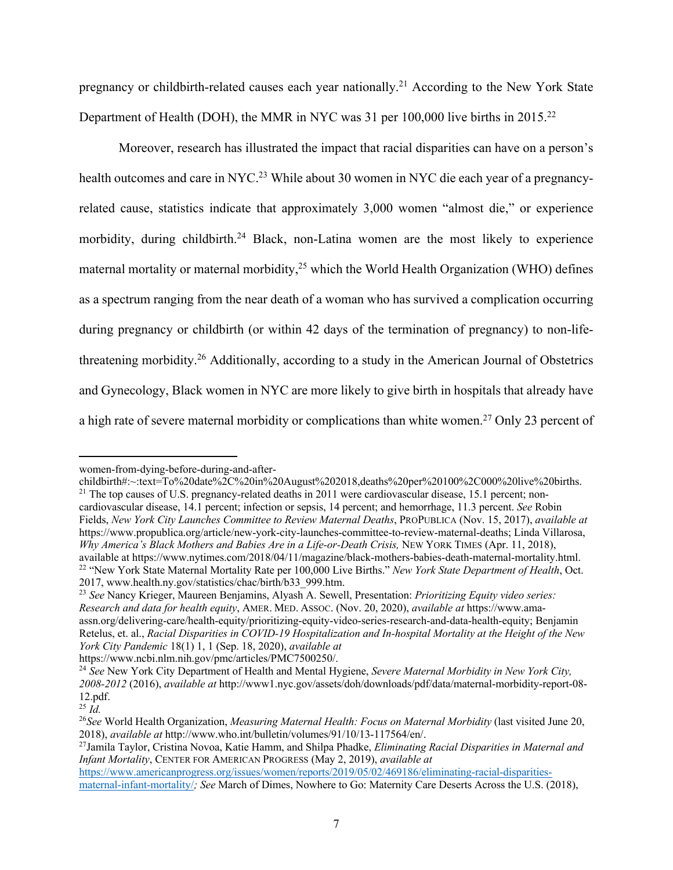pregnancy or childbirth-related causes each year nationally.<sup>21</sup> According to the New York State Department of Health (DOH), the MMR in NYC was 31 per 100,000 live births in 2015.<sup>22</sup>

Moreover, research has illustrated the impact that racial disparities can have on a person's health outcomes and care in NYC.<sup>23</sup> While about 30 women in NYC die each year of a pregnancyrelated cause, statistics indicate that approximately 3,000 women "almost die," or experience morbidity, during childbirth.<sup>24</sup> Black, non-Latina women are the most likely to experience maternal mortality or maternal morbidity, $2<sup>5</sup>$  which the World Health Organization (WHO) defines as a spectrum ranging from the near death of a woman who has survived a complication occurring during pregnancy or childbirth (or within 42 days of the termination of pregnancy) to non-lifethreatening morbidity.26 Additionally, according to a study in the American Journal of Obstetrics and Gynecology, Black women in NYC are more likely to give birth in hospitals that already have a high rate of severe maternal morbidity or complications than white women.<sup>27</sup> Only 23 percent of

childbirth#:~:text=To%20date%2C%20in%20August%202018,deaths%20per%20100%2C000%20live%20births.  $21$  The top causes of U.S. pregnancy-related deaths in 2011 were cardiovascular disease, 15.1 percent; non-

cardiovascular disease, 14.1 percent; infection or sepsis, 14 percent; and hemorrhage, 11.3 percent. *See* Robin Fields, *New York City Launches Committee to Review Maternal Deaths*, PROPUBLICA (Nov. 15, 2017), *available at* https://www.propublica.org/article/new-york-city-launches-committee-to-review-maternal-deaths; Linda Villarosa, *Why America's Black Mothers and Babies Are in a Life-or-Death Crisis,* NEW YORK TIMES (Apr. 11, 2018), available at https://www.nytimes.com/2018/04/11/magazine/black-mothers-babies-death-maternal-mortality.html. <sup>22</sup> "New York State Maternal Mortality Rate per 100,000 Live Births." *New York State Department of Health*, Oct. 2017, www.health.ny.gov/statistics/chac/birth/b33\_999.htm.

<sup>23</sup> *See* Nancy Krieger, Maureen Benjamins, Alyash A. Sewell, Presentation: *Prioritizing Equity video series: Research and data for health equity*, AMER. MED. ASSOC. (Nov. 20, 2020), *available at* https://www.amaassn.org/delivering-care/health-equity/prioritizing-equity-video-series-research-and-data-health-equity; Benjamin Retelus, et. al., *Racial Disparities in COVID-19 Hospitalization and In-hospital Mortality at the Height of the New York City Pandemic* 18(1) 1, 1 (Sep. 18, 2020), *available at*

https://www.ncbi.nlm.nih.gov/pmc/articles/PMC7500250/.

women-from-dying-before-during-and-after-

<sup>24</sup> *See* New York City Department of Health and Mental Hygiene, *Severe Maternal Morbidity in New York City, 2008-2012* (2016), *available at* http://www1.nyc.gov/assets/doh/downloads/pdf/data/maternal-morbidity-report-08- 12.pdf. 25 *Id.*

<sup>26</sup>*See* World Health Organization, *Measuring Maternal Health: Focus on Maternal Morbidity* (last visited June 20, 2018), *available at* http://www.who.int/bulletin/volumes/91/10/13-117564/en/. 27Jamila Taylor, Cristina Novoa, Katie Hamm, and Shilpa Phadke, *Eliminating Racial Disparities in Maternal and* 

*Infant Mortality*, CENTER FOR AMERICAN PROGRESS (May 2, 2019), *available at*

https://www.americanprogress.org/issues/women/reports/2019/05/02/469186/eliminating-racial-disparitiesmaternal-infant-mortality/*; See* March of Dimes, Nowhere to Go: Maternity Care Deserts Across the U.S. (2018),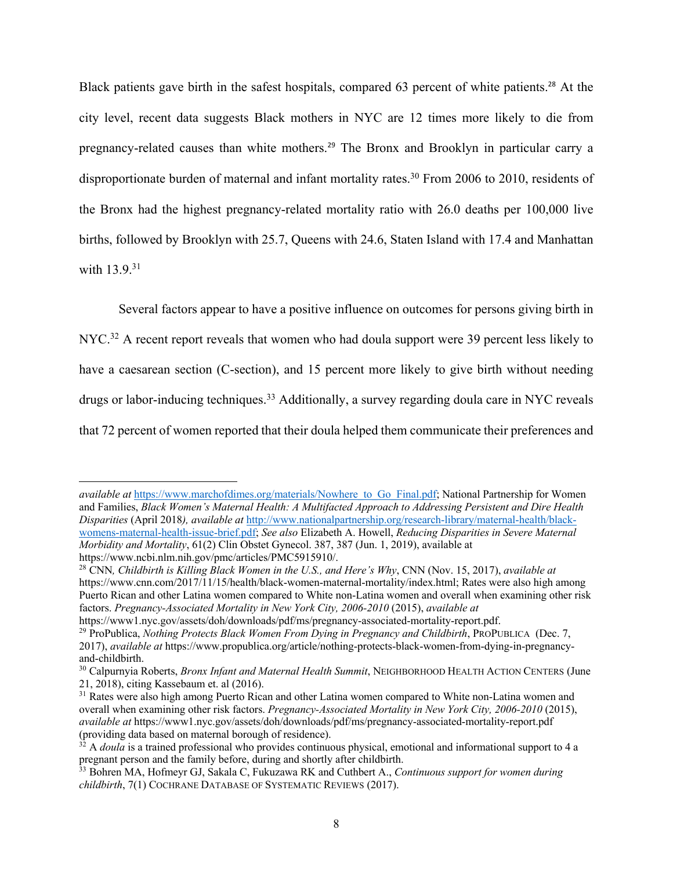Black patients gave birth in the safest hospitals, compared 63 percent of white patients.<sup>28</sup> At the city level, recent data suggests Black mothers in NYC are 12 times more likely to die from pregnancy-related causes than white mothers.<sup>29</sup> The Bronx and Brooklyn in particular carry a disproportionate burden of maternal and infant mortality rates. <sup>30</sup> From 2006 to 2010, residents of the Bronx had the highest pregnancy-related mortality ratio with 26.0 deaths per 100,000 live births, followed by Brooklyn with 25.7, Queens with 24.6, Staten Island with 17.4 and Manhattan with 13.9.<sup>31</sup>

Several factors appear to have a positive influence on outcomes for persons giving birth in NYC.<sup>32</sup> A recent report reveals that women who had doula support were 39 percent less likely to have a caesarean section (C-section), and 15 percent more likely to give birth without needing drugs or labor-inducing techniques.<sup>33</sup> Additionally, a survey regarding doula care in NYC reveals that 72 percent of women reported that their doula helped them communicate their preferences and

*available at* https://www.marchofdimes.org/materials/Nowhere\_to\_Go\_Final.pdf; National Partnership for Women and Families, *Black Women's Maternal Health: A Multifacted Approach to Addressing Persistent and Dire Health Disparities* (April 2018*), available at* http://www.nationalpartnership.org/research-library/maternal-health/blackwomens-maternal-health-issue-brief.pdf; *See also* Elizabeth A. Howell, *Reducing Disparities in Severe Maternal Morbidity and Mortality*, 61(2) Clin Obstet Gynecol. 387, 387 (Jun. 1, 2019), available at https://www.ncbi.nlm.nih.gov/pmc/articles/PMC5915910/.

<sup>28</sup> CNN*, Childbirth is Killing Black Women in the U.S., and Here's Why*, CNN (Nov. 15, 2017), *available at* https://www.cnn.com/2017/11/15/health/black-women-maternal-mortality/index.html; Rates were also high among Puerto Rican and other Latina women compared to White non-Latina women and overall when examining other risk factors. *Pregnancy-Associated Mortality in New York City, 2006-2010* (2015), *available at*

https://www1.nyc.gov/assets/doh/downloads/pdf/ms/pregnancy-associated-mortality-report.pdf.

<sup>&</sup>lt;sup>29</sup> ProPublica, *Nothing Protects Black Women From Dying in Pregnancy and Childbirth*, PROPUBLICA (Dec. 7, 2017), *available at* https://www.propublica.org/article/nothing-protects-black-women-from-dying-in-pregnancy-

<sup>&</sup>lt;sup>30</sup> Calpurnyia Roberts, *Bronx Infant and Maternal Health Summit*, NEIGHBORHOOD HEALTH ACTION CENTERS (June 21, 2018), citing Kassebaum et. al (2016).

<sup>&</sup>lt;sup>31</sup> Rates were also high among Puerto Rican and other Latina women compared to White non-Latina women and overall when examining other risk factors. *Pregnancy-Associated Mortality in New York City, 2006-2010* (2015), *available at* https://www1.nyc.gov/assets/doh/downloads/pdf/ms/pregnancy-associated-mortality-report.pdf (providing data based on maternal borough of residence).

<sup>&</sup>lt;sup>32</sup> A *doula* is a trained professional who provides continuous physical, emotional and informational support to 4 a pregnant person and the family before, during and shortly after childbirth.

<sup>33</sup> Bohren MA, Hofmeyr GJ, Sakala C, Fukuzawa RK and Cuthbert A., *Continuous support for women during childbirth*, 7(1) COCHRANE DATABASE OF SYSTEMATIC REVIEWS (2017).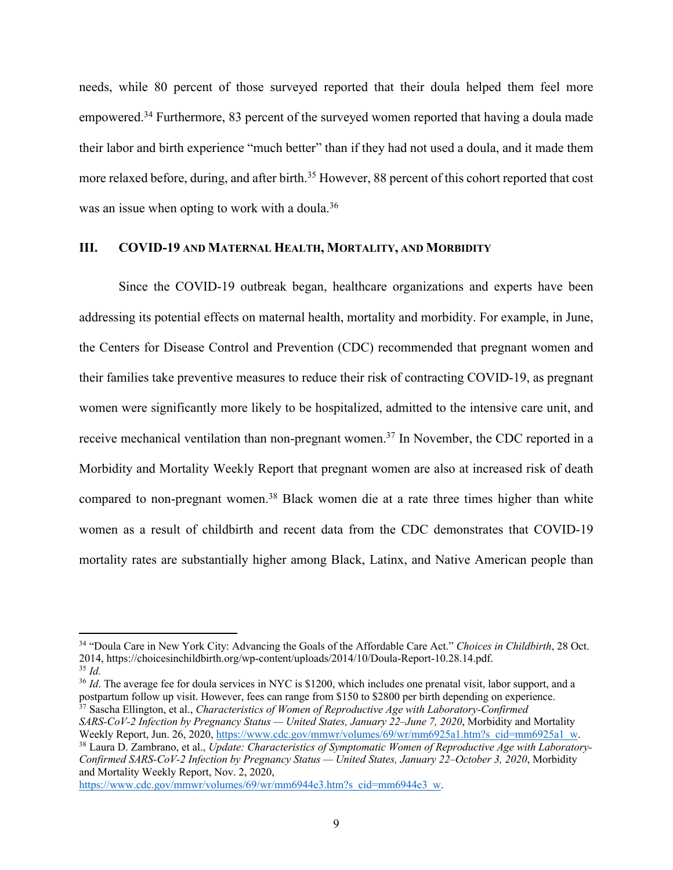needs, while 80 percent of those surveyed reported that their doula helped them feel more empowered.<sup>34</sup> Furthermore, 83 percent of the surveyed women reported that having a doula made their labor and birth experience "much better" than if they had not used a doula, and it made them more relaxed before, during, and after birth.<sup>35</sup> However, 88 percent of this cohort reported that cost was an issue when opting to work with a doula.<sup>36</sup>

# **III. COVID-19 AND MATERNAL HEALTH, MORTALITY, AND MORBIDITY**

Since the COVID-19 outbreak began, healthcare organizations and experts have been addressing its potential effects on maternal health, mortality and morbidity. For example, in June, the Centers for Disease Control and Prevention (CDC) recommended that pregnant women and their families take preventive measures to reduce their risk of contracting COVID-19, as pregnant women were significantly more likely to be hospitalized, admitted to the intensive care unit, and receive mechanical ventilation than non-pregnant women.<sup>37</sup> In November, the CDC reported in a Morbidity and Mortality Weekly Report that pregnant women are also at increased risk of death compared to non-pregnant women.<sup>38</sup> Black women die at a rate three times higher than white women as a result of childbirth and recent data from the CDC demonstrates that COVID-19 mortality rates are substantially higher among Black, Latinx, and Native American people than

<sup>36</sup> *Id*. The average fee for doula services in NYC is \$1200, which includes one prenatal visit, labor support, and a postpartum follow up visit. However, fees can range from \$150 to \$2800 per birth depending on experience. <sup>37</sup> Sascha Ellington, et al., *Characteristics of Women of Reproductive Age with Laboratory-Confirmed*

https://www.cdc.gov/mmwr/volumes/69/wr/mm6944e3.htm?s\_cid=mm6944e3\_w.

<sup>34</sup> "Doula Care in New York City: Advancing the Goals of the Affordable Care Act." *Choices in Childbirth*, 28 Oct. 2014, https://choicesinchildbirth.org/wp-content/uploads/2014/10/Doula-Report-10.28.14.pdf. 35 *Id.*

*SARS-CoV-2 Infection by Pregnancy Status — United States, January 22–June 7, 2020*, Morbidity and Mortality Weekly Report, Jun. 26, 2020, https://www.cdc.gov/mmwr/volumes/69/wr/mm6925a1.htm?s\_cid=mm6925a1\_w. <sup>38</sup> Laura D. Zambrano, et al., *Update: Characteristics of Symptomatic Women of Reproductive Age with Laboratory-Confirmed SARS-CoV-2 Infection by Pregnancy Status — United States, January 22–October 3, 2020*, Morbidity and Mortality Weekly Report, Nov. 2, 2020,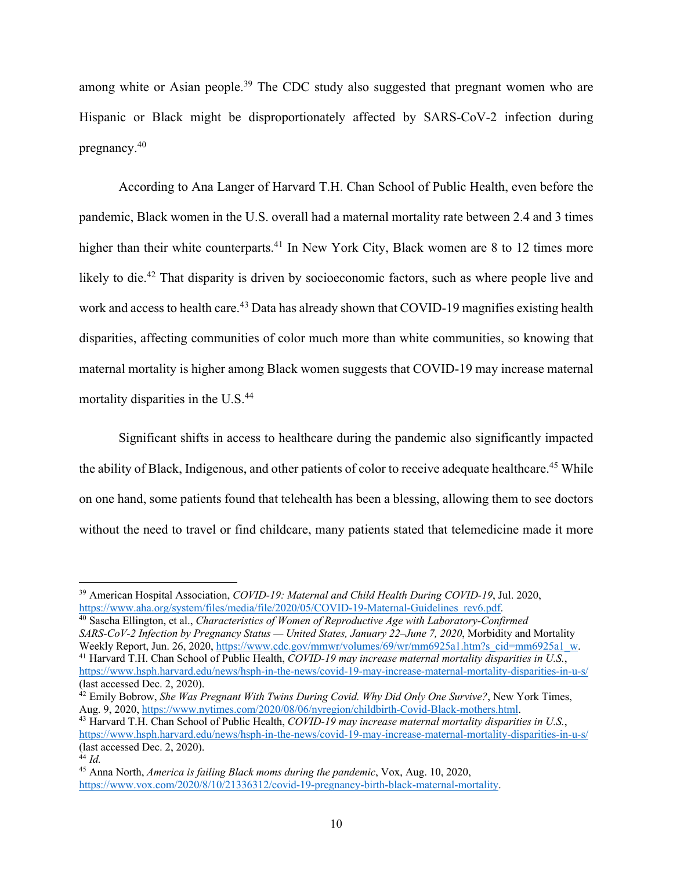among white or Asian people.<sup>39</sup> The CDC study also suggested that pregnant women who are Hispanic or Black might be disproportionately affected by SARS-CoV-2 infection during pregnancy.40

According to Ana Langer of Harvard T.H. Chan School of Public Health, even before the pandemic, Black women in the U.S. overall had a maternal mortality rate between 2.4 and 3 times higher than their white counterparts.<sup>41</sup> In New York City, Black women are 8 to 12 times more likely to die.<sup>42</sup> That disparity is driven by socioeconomic factors, such as where people live and work and access to health care.<sup>43</sup> Data has already shown that COVID-19 magnifies existing health disparities, affecting communities of color much more than white communities, so knowing that maternal mortality is higher among Black women suggests that COVID-19 may increase maternal mortality disparities in the U.S.44

Significant shifts in access to healthcare during the pandemic also significantly impacted the ability of Black, Indigenous, and other patients of color to receive adequate healthcare.<sup>45</sup> While on one hand, some patients found that telehealth has been a blessing, allowing them to see doctors without the need to travel or find childcare, many patients stated that telemedicine made it more

<sup>40</sup> Sascha Ellington, et al., *Characteristics of Women of Reproductive Age with Laboratory-Confirmed SARS-CoV-2 Infection by Pregnancy Status — United States, January 22–June 7, 2020*, Morbidity and Mortality Weekly Report, Jun. 26, 2020, https://www.cdc.gov/mmwr/volumes/69/wr/mm6925a1.htm?s\_cid=mm6925a1\_w. <sup>41</sup> Harvard T.H. Chan School of Public Health, *COVID-19 may increase maternal mortality disparities in U.S.*, https://www.hsph.harvard.edu/news/hsph-in-the-news/covid-19-may-increase-maternal-mortality-disparities-in-u-s/ (last accessed Dec. 2, 2020).

<sup>39</sup> American Hospital Association, *COVID-19: Maternal and Child Health During COVID-19*, Jul. 2020, https://www.aha.org/system/files/media/file/2020/05/COVID-19-Maternal-Guidelines\_rev6.pdf.

<sup>&</sup>lt;sup>42</sup> Emily Bobrow, *She Was Pregnant With Twins During Covid. Why Did Only One Survive?*, New York Times, Aug. 9, 2020, https://www.nytimes.com/2020/08/06/nyregion/childbirth-Covid-Black-mothers.html.

<sup>&</sup>lt;sup>43</sup> Harvard T.H. Chan School of Public Health, *COVID-19 may increase maternal mortality disparities in U.S.*, https://www.hsph.harvard.edu/news/hsph-in-the-news/covid-19-may-increase-maternal-mortality-disparities-in-u-s/ (last accessed Dec. 2, 2020).

 $44$  *Id.* 

<sup>45</sup> Anna North, *America is failing Black moms during the pandemic*, Vox, Aug. 10, 2020, https://www.vox.com/2020/8/10/21336312/covid-19-pregnancy-birth-black-maternal-mortality.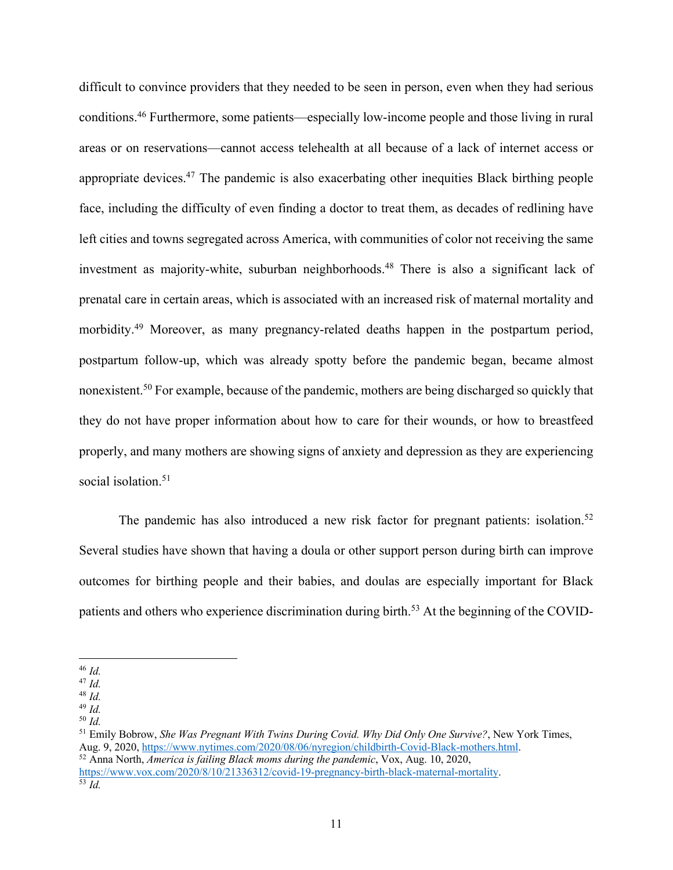difficult to convince providers that they needed to be seen in person, even when they had serious conditions. <sup>46</sup> Furthermore, some patients—especially low-income people and those living in rural areas or on reservations—cannot access telehealth at all because of a lack of internet access or appropriate devices.<sup>47</sup> The pandemic is also exacerbating other inequities Black birthing people face, including the difficulty of even finding a doctor to treat them, as decades of redlining have left cities and towns segregated across America, with communities of color not receiving the same investment as majority-white, suburban neighborhoods.<sup>48</sup> There is also a significant lack of prenatal care in certain areas, which is associated with an increased risk of maternal mortality and morbidity.<sup>49</sup> Moreover, as many pregnancy-related deaths happen in the postpartum period, postpartum follow-up, which was already spotty before the pandemic began, became almost nonexistent.50 For example, because of the pandemic, mothers are being discharged so quickly that they do not have proper information about how to care for their wounds, or how to breastfeed properly, and many mothers are showing signs of anxiety and depression as they are experiencing social isolation.<sup>51</sup>

The pandemic has also introduced a new risk factor for pregnant patients: isolation.<sup>52</sup> Several studies have shown that having a doula or other support person during birth can improve outcomes for birthing people and their babies, and doulas are especially important for Black patients and others who experience discrimination during birth.<sup>53</sup> At the beginning of the COVID-

<sup>51</sup> Emily Bobrow, *She Was Pregnant With Twins During Covid. Why Did Only One Survive?*, New York Times, Aug. 9, 2020, https://www.nytimes.com/2020/08/06/nyregion/childbirth-Covid-Black-mothers.html.<br><sup>52</sup> Anna North, *America is failing Black moms during the pandemic*, Vox, Aug. 10, 2020, <sup>52</sup> Anna North, *America is failing Black moms during the pandemic*, Vox, Aug. 10, 2020, https://www.vox.com/2020/8/10/21336312/covid-19-pregnancy-birth-black-maternal-mortality. <sup>53</sup> *Id.*

<sup>46</sup> *Id.*

<sup>47</sup> *Id.*

<sup>48</sup> *Id.*

<sup>49</sup> *Id.*

<sup>50</sup> *Id.*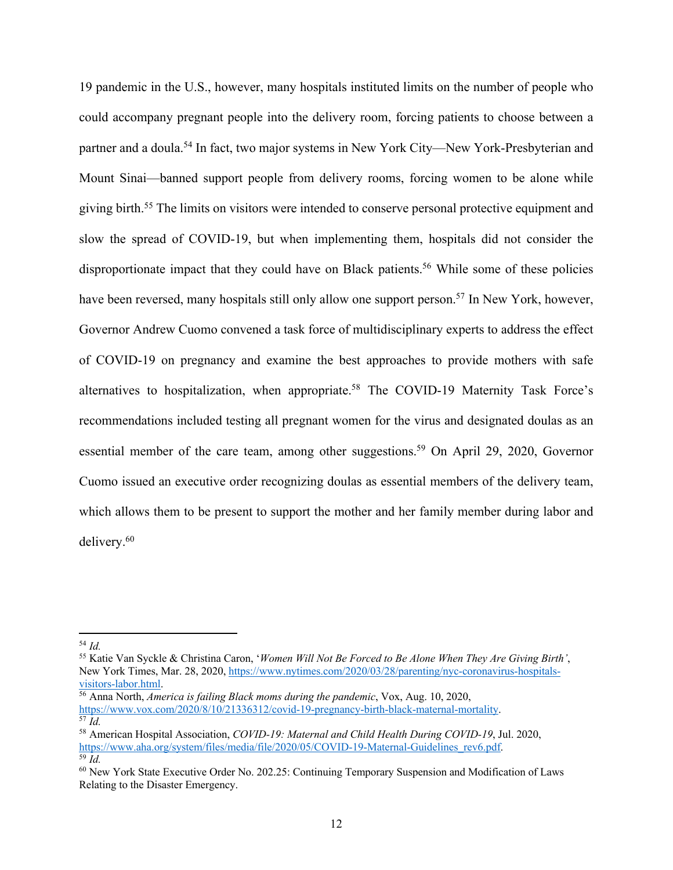19 pandemic in the U.S., however, many hospitals instituted limits on the number of people who could accompany pregnant people into the delivery room, forcing patients to choose between a partner and a doula.<sup>54</sup> In fact, two major systems in New York City—New York-Presbyterian and Mount Sinai—banned support people from delivery rooms, forcing women to be alone while giving birth.55 The limits on visitors were intended to conserve personal protective equipment and slow the spread of COVID-19, but when implementing them, hospitals did not consider the disproportionate impact that they could have on Black patients.<sup>56</sup> While some of these policies have been reversed, many hospitals still only allow one support person.<sup>57</sup> In New York, however, Governor Andrew Cuomo convened a task force of multidisciplinary experts to address the effect of COVID-19 on pregnancy and examine the best approaches to provide mothers with safe alternatives to hospitalization, when appropriate.<sup>58</sup> The COVID-19 Maternity Task Force's recommendations included testing all pregnant women for the virus and designated doulas as an essential member of the care team, among other suggestions.<sup>59</sup> On April 29, 2020, Governor Cuomo issued an executive order recognizing doulas as essential members of the delivery team, which allows them to be present to support the mother and her family member during labor and delivery.60

<sup>54</sup> *Id.*

<sup>55</sup> Katie Van Syckle & Christina Caron, '*Women Will Not Be Forced to Be Alone When They Are Giving Birth'*, New York Times, Mar. 28, 2020, https://www.nytimes.com/2020/03/28/parenting/nyc-coronavirus-hospitalsvisitors-labor.html. 56 Anna North, *America is failing Black moms during the pandemic*, Vox, Aug. 10, 2020,

https://www.vox.com/2020/8/10/21336312/covid-19-pregnancy-birth-black-maternal-mortality. <sup>57</sup> *Id.*

<sup>58</sup> American Hospital Association, *COVID-19: Maternal and Child Health During COVID-19*, Jul. 2020, https://www.aha.org/system/files/media/file/2020/05/COVID-19-Maternal-Guidelines\_rev6.pdf. 59 *Id.*

<sup>&</sup>lt;sup>60</sup> New York State Executive Order No. 202.25: Continuing Temporary Suspension and Modification of Laws Relating to the Disaster Emergency.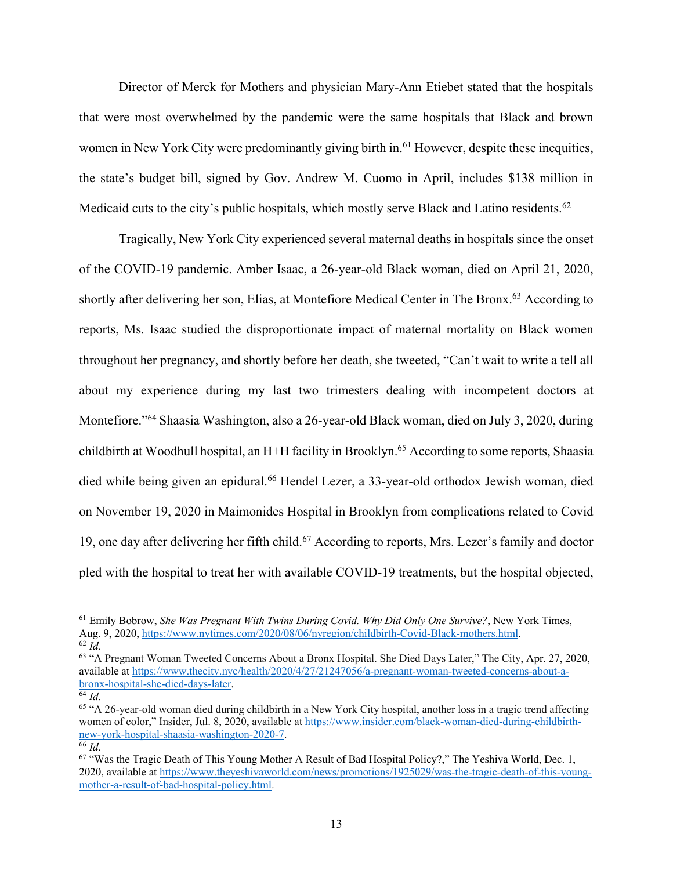Director of Merck for Mothers and physician Mary-Ann Etiebet stated that the hospitals that were most overwhelmed by the pandemic were the same hospitals that Black and brown women in New York City were predominantly giving birth in.<sup>61</sup> However, despite these inequities, the state's budget bill, signed by Gov. Andrew M. Cuomo in April, includes \$138 million in Medicaid cuts to the city's public hospitals, which mostly serve Black and Latino residents.<sup>62</sup>

Tragically, New York City experienced several maternal deaths in hospitals since the onset of the COVID-19 pandemic. Amber Isaac, a 26-year-old Black woman, died on April 21, 2020, shortly after delivering her son, Elias, at Montefiore Medical Center in The Bronx.<sup>63</sup> According to reports, Ms. Isaac studied the disproportionate impact of maternal mortality on Black women throughout her pregnancy, and shortly before her death, she tweeted, "Can't wait to write a tell all about my experience during my last two trimesters dealing with incompetent doctors at Montefiore."64 Shaasia Washington, also a 26-year-old Black woman, died on July 3, 2020, during childbirth at Woodhull hospital, an H+H facility in Brooklyn.<sup>65</sup> According to some reports, Shaasia died while being given an epidural.<sup>66</sup> Hendel Lezer, a 33-year-old orthodox Jewish woman, died on November 19, 2020 in Maimonides Hospital in Brooklyn from complications related to Covid 19, one day after delivering her fifth child.67 According to reports, Mrs. Lezer's family and doctor pled with the hospital to treat her with available COVID-19 treatments, but the hospital objected,

<sup>61</sup> Emily Bobrow, *She Was Pregnant With Twins During Covid. Why Did Only One Survive?*, New York Times, Aug. 9, 2020, https://www.nytimes.com/2020/08/06/nyregion/childbirth-Covid-Black-mothers.html. <sup>62</sup> *Id.*

<sup>63</sup> "A Pregnant Woman Tweeted Concerns About a Bronx Hospital. She Died Days Later," The City, Apr. 27, 2020, available at https://www.thecity.nyc/health/2020/4/27/21247056/a-pregnant-woman-tweeted-concerns-about-abronx-hospital-she-died-days-later. 64 *Id*.

<sup>65</sup> "A 26-year-old woman died during childbirth in a New York City hospital, another loss in a tragic trend affecting women of color," Insider, Jul. 8, 2020, available at https://www.insider.com/black-woman-died-during-childbirthnew-york-hospital-shaasia-washington-2020-7. 66 *Id*.

<sup>67</sup> "Was the Tragic Death of This Young Mother A Result of Bad Hospital Policy?," The Yeshiva World, Dec. 1, 2020, available at https://www.theyeshivaworld.com/news/promotions/1925029/was-the-tragic-death-of-this-youngmother-a-result-of-bad-hospital-policy.html.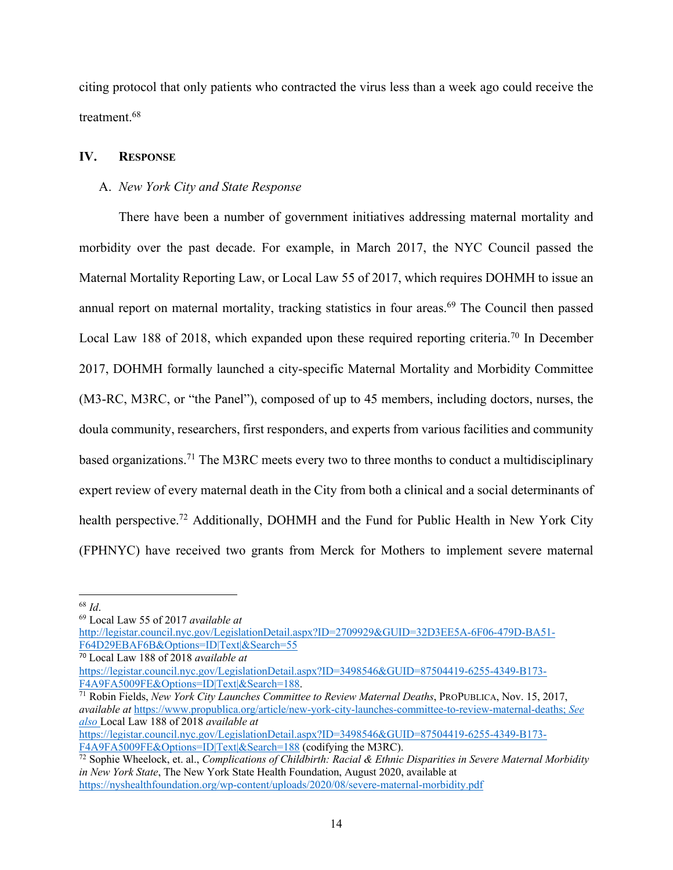citing protocol that only patients who contracted the virus less than a week ago could receive the treatment.68

## **IV. RESPONSE**

## A. *New York City and State Response*

There have been a number of government initiatives addressing maternal mortality and morbidity over the past decade. For example, in March 2017, the NYC Council passed the Maternal Mortality Reporting Law, or Local Law 55 of 2017, which requires DOHMH to issue an annual report on maternal mortality, tracking statistics in four areas. <sup>69</sup> The Council then passed Local Law 188 of 2018, which expanded upon these required reporting criteria.<sup>70</sup> In December 2017, DOHMH formally launched a city-specific Maternal Mortality and Morbidity Committee (M3-RC, M3RC, or "the Panel"), composed of up to 45 members, including doctors, nurses, the doula community, researchers, first responders, and experts from various facilities and community based organizations.71 The M3RC meets every two to three months to conduct a multidisciplinary expert review of every maternal death in the City from both a clinical and a social determinants of health perspective.<sup>72</sup> Additionally, DOHMH and the Fund for Public Health in New York City (FPHNYC) have received two grants from Merck for Mothers to implement severe maternal

<sup>69</sup> Local Law 55 of 2017 *available at*

<sup>70</sup> Local Law 188 of 2018 *available at*

<sup>68</sup> *Id*.

http://legistar.council.nyc.gov/LegislationDetail.aspx?ID=2709929&GUID=32D3EE5A-6F06-479D-BA51- F64D29EBAF6B&Options=ID|Text|&Search=55

https://legistar.council.nyc.gov/LegislationDetail.aspx?ID=3498546&GUID=87504419-6255-4349-B173-<br>F4A9FA5009FE&Options=ID|Text|&Search=188.

<sup>&</sup>lt;sup>71</sup> Robin Fields, *New York City Launches Committee to Review Maternal Deaths*, PROPUBLICA, Nov. 15, 2017, *available at* https://www.propublica.org/article/new-york-city-launches-committee-to-review-maternal-deaths; *See also* Local Law 188 of 2018 *available at*

https://legistar.council.nyc.gov/LegislationDetail.aspx?ID=3498546&GUID=87504419-6255-4349-B173-<br>F4A9FA5009FE&Options=ID|Text|&Search=188 (codifying the M3RC).

 $\frac{1}{72}$  Sophie Wheelock, et. al., *Complications of Childbirth: Racial & Ethnic Disparities in Severe Maternal Morbidity in New York State*, The New York State Health Foundation, August 2020, available at https://nyshealthfoundation.org/wp-content/uploads/2020/08/severe-maternal-morbidity.pdf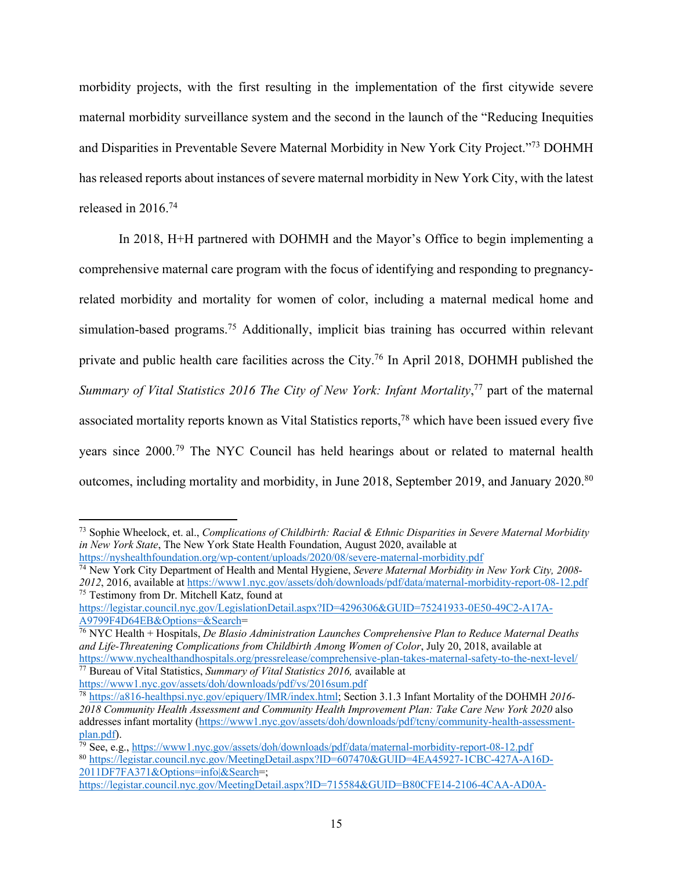morbidity projects, with the first resulting in the implementation of the first citywide severe maternal morbidity surveillance system and the second in the launch of the "Reducing Inequities and Disparities in Preventable Severe Maternal Morbidity in New York City Project."73 DOHMH has released reports about instances of severe maternal morbidity in New York City, with the latest released in 2016.74

In 2018, H+H partnered with DOHMH and the Mayor's Office to begin implementing a comprehensive maternal care program with the focus of identifying and responding to pregnancyrelated morbidity and mortality for women of color, including a maternal medical home and simulation-based programs.<sup>75</sup> Additionally, implicit bias training has occurred within relevant private and public health care facilities across the City.76 In April 2018, DOHMH published the Summary of Vital Statistics 2016 The City of New York: Infant Mortality,<sup>77</sup> part of the maternal associated mortality reports known as Vital Statistics reports,78 which have been issued every five years since 2000.<sup>79</sup> The NYC Council has held hearings about or related to maternal health outcomes, including mortality and morbidity, in June 2018, September 2019, and January 2020.<sup>80</sup>

<sup>73</sup> Sophie Wheelock, et. al., *Complications of Childbirth: Racial & Ethnic Disparities in Severe Maternal Morbidity in New York State*, The New York State Health Foundation, August 2020, available at

https://nyshealthfoundation.org/wp-content/uploads/2020/08/severe-maternal-morbidity.pdf

<sup>74</sup> New York City Department of Health and Mental Hygiene, *Severe Maternal Morbidity in New York City, 2008- 2012*, 2016, available at https://www1.nyc.gov/assets/doh/downloads/pdf/data/maternal-morbidity-report-08-12.pdf

<sup>75</sup> Testimony from Dr. Mitchell Katz, found at https://legistar.council.nyc.gov/LegislationDetail.aspx?ID=4296306&GUID=75241933-0E50-49C2-A17A-

A9799F4D64EB&Options=&Search= 76 NYC Health + Hospitals, *De Blasio Administration Launches Comprehensive Plan to Reduce Maternal Deaths and Life-Threatening Complications from Childbirth Among Women of Color*, July 20, 2018, available at https://www.nychealthandhospitals.org/pressrelease/comprehensive-plan-takes-maternal-safety-to-the-next-level/ <sup>77</sup> Bureau of Vital Statistics, *Summary of Vital Statistics 2016,* available at

https://www1.nyc.gov/assets/doh/downloads/pdf/vs/2016sum.pdf

<sup>78</sup> https://a816-healthpsi.nyc.gov/epiquery/IMR/index.html; Section 3.1.3 Infant Mortality of the DOHMH *2016- 2018 Community Health Assessment and Community Health Improvement Plan: Take Care New York 2020* also addresses infant mortality (https://www1.nyc.gov/assets/doh/downloads/pdf/tcny/community-health-assessmentplan.pdf).<br><sup>79</sup> See, e.g., https://www1.nyc.gov/assets/doh/downloads/pdf/data/maternal-morbidity-report-08-12.pdf

 $80$  https://legistar.council.nyc.gov/MeetingDetail.aspx?ID=607470&GUID=4EA45927-1CBC-427A-A16D-2011DF7FA371&Options=info|&Search=;

https://legistar.council.nyc.gov/MeetingDetail.aspx?ID=715584&GUID=B80CFE14-2106-4CAA-AD0A-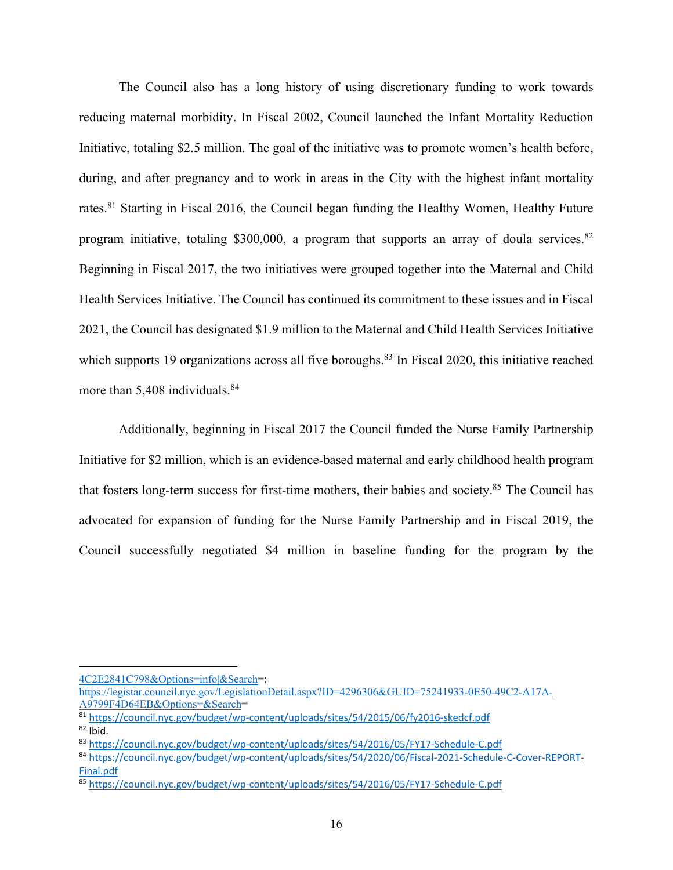The Council also has a long history of using discretionary funding to work towards reducing maternal morbidity. In Fiscal 2002, Council launched the Infant Mortality Reduction Initiative, totaling \$2.5 million. The goal of the initiative was to promote women's health before, during, and after pregnancy and to work in areas in the City with the highest infant mortality rates.81 Starting in Fiscal 2016, the Council began funding the Healthy Women, Healthy Future program initiative, totaling \$300,000, a program that supports an array of doula services.<sup>82</sup> Beginning in Fiscal 2017, the two initiatives were grouped together into the Maternal and Child Health Services Initiative. The Council has continued its commitment to these issues and in Fiscal 2021, the Council has designated \$1.9 million to the Maternal and Child Health Services Initiative which supports 19 organizations across all five boroughs.<sup>83</sup> In Fiscal 2020, this initiative reached more than 5,408 individuals.<sup>84</sup>

Additionally, beginning in Fiscal 2017 the Council funded the Nurse Family Partnership Initiative for \$2 million, which is an evidence-based maternal and early childhood health program that fosters long-term success for first-time mothers, their babies and society.85 The Council has advocated for expansion of funding for the Nurse Family Partnership and in Fiscal 2019, the Council successfully negotiated \$4 million in baseline funding for the program by the

<sup>81</sup> https://council.nyc.gov/budget/wp-content/uploads/sites/54/2015/06/fy2016-skedcf.pdf  $82$  Ibid.

<sup>4</sup>C2E2841C798&Options=info|&Search=;

https://legistar.council.nyc.gov/LegislationDetail.aspx?ID=4296306&GUID=75241933-0E50-49C2-A17A-A9799F4D64EB&Options=&Search=

<sup>83</sup> https://council.nyc.gov/budget/wp-content/uploads/sites/54/2016/05/FY17-Schedule-C.pdf

<sup>84</sup> https://council.nyc.gov/budget/wp-content/uploads/sites/54/2020/06/Fiscal-2021-Schedule-C-Cover-REPORT-Final.pdf

<sup>85</sup> https://council.nyc.gov/budget/wp-content/uploads/sites/54/2016/05/FY17-Schedule-C.pdf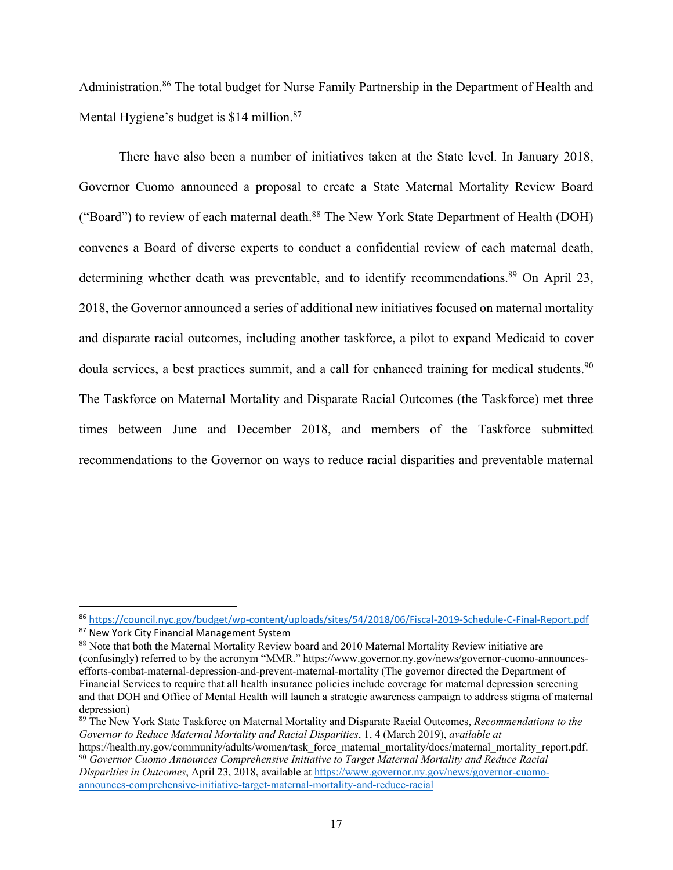Administration.<sup>86</sup> The total budget for Nurse Family Partnership in the Department of Health and Mental Hygiene's budget is \$14 million.<sup>87</sup>

There have also been a number of initiatives taken at the State level. In January 2018, Governor Cuomo announced a proposal to create a State Maternal Mortality Review Board ("Board") to review of each maternal death.<sup>88</sup> The New York State Department of Health (DOH) convenes a Board of diverse experts to conduct a confidential review of each maternal death, determining whether death was preventable, and to identify recommendations.<sup>89</sup> On April 23, 2018, the Governor announced a series of additional new initiatives focused on maternal mortality and disparate racial outcomes, including another taskforce, a pilot to expand Medicaid to cover doula services, a best practices summit, and a call for enhanced training for medical students.<sup>90</sup> The Taskforce on Maternal Mortality and Disparate Racial Outcomes (the Taskforce) met three times between June and December 2018, and members of the Taskforce submitted recommendations to the Governor on ways to reduce racial disparities and preventable maternal

<sup>86</sup> https://council.nyc.gov/budget/wp-content/uploads/sites/54/2018/06/Fiscal-2019-Schedule-C-Final-Report.pdf

<sup>87</sup> New York City Financial Management System

<sup>&</sup>lt;sup>88</sup> Note that both the Maternal Mortality Review board and 2010 Maternal Mortality Review initiative are (confusingly) referred to by the acronym "MMR." https://www.governor.ny.gov/news/governor-cuomo-announcesefforts-combat-maternal-depression-and-prevent-maternal-mortality (The governor directed the Department of Financial Services to require that all health insurance policies include coverage for maternal depression screening and that DOH and Office of Mental Health will launch a strategic awareness campaign to address stigma of maternal depression)

<sup>89</sup> The New York State Taskforce on Maternal Mortality and Disparate Racial Outcomes, *Recommendations to the Governor to Reduce Maternal Mortality and Racial Disparities*, 1, 4 (March 2019), *available at*  https://health.ny.gov/community/adults/women/task\_force\_maternal\_mortality/docs/maternal\_mortality\_report.pdf.

<sup>90</sup> *Governor Cuomo Announces Comprehensive Initiative to Target Maternal Mortality and Reduce Racial Disparities in Outcomes*, April 23, 2018, available at https://www.governor.ny.gov/news/governor-cuomoannounces-comprehensive-initiative-target-maternal-mortality-and-reduce-racial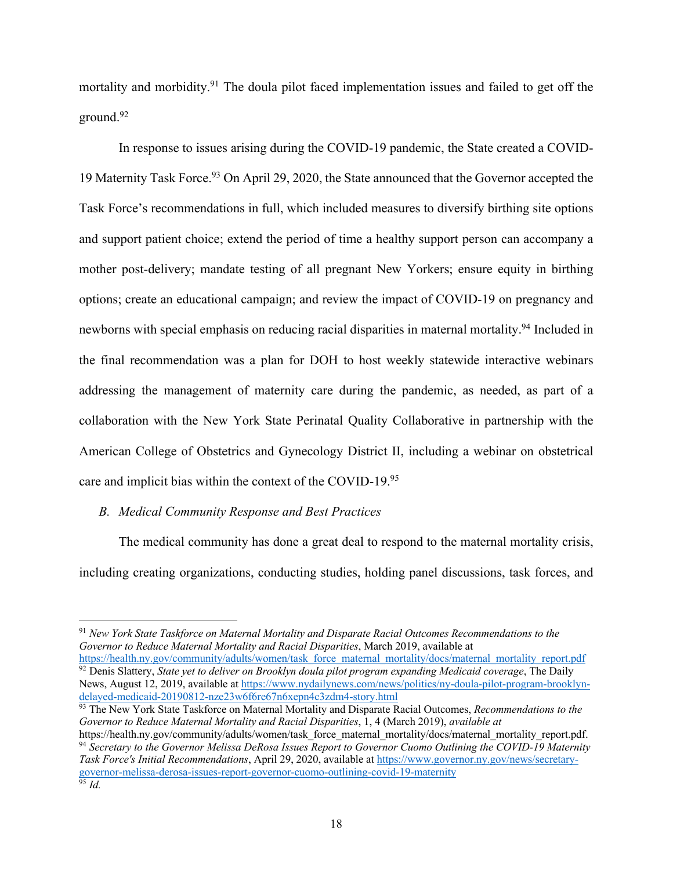mortality and morbidity.<sup>91</sup> The doula pilot faced implementation issues and failed to get off the ground.92

In response to issues arising during the COVID-19 pandemic, the State created a COVID-19 Maternity Task Force.<sup>93</sup> On April 29, 2020, the State announced that the Governor accepted the Task Force's recommendations in full, which included measures to diversify birthing site options and support patient choice; extend the period of time a healthy support person can accompany a mother post-delivery; mandate testing of all pregnant New Yorkers; ensure equity in birthing options; create an educational campaign; and review the impact of COVID-19 on pregnancy and newborns with special emphasis on reducing racial disparities in maternal mortality.<sup>94</sup> Included in the final recommendation was a plan for DOH to host weekly statewide interactive webinars addressing the management of maternity care during the pandemic, as needed, as part of a collaboration with the New York State Perinatal Quality Collaborative in partnership with the American College of Obstetrics and Gynecology District II, including a webinar on obstetrical care and implicit bias within the context of the COVID-19.95

# *B. Medical Community Response and Best Practices*

The medical community has done a great deal to respond to the maternal mortality crisis, including creating organizations, conducting studies, holding panel discussions, task forces, and

<sup>91</sup> *New York State Taskforce on Maternal Mortality and Disparate Racial Outcomes Recommendations to the Governor to Reduce Maternal Mortality and Racial Disparities*, March 2019, available at

https://health.ny.gov/community/adults/women/task\_force\_maternal\_mortality/docs/maternal\_mortality\_report.pdf <sup>92</sup> Denis Slattery, *State yet to deliver on Brooklyn doula pilot program expanding Medicaid coverage*, The Daily News, August 12, 2019, available at https://www.nydailynews.com/news/politics/ny-doula-pilot-program-brooklyndelayed-medicaid-20190812-nze23w6f6re67n6xepn4c3zdm4-story.html

<sup>93</sup> The New York State Taskforce on Maternal Mortality and Disparate Racial Outcomes, *Recommendations to the Governor to Reduce Maternal Mortality and Racial Disparities*, 1, 4 (March 2019), *available at* 

https://health.ny.gov/community/adults/women/task\_force\_maternal\_mortality/docs/maternal\_mortality\_report.pdf. <sup>94</sup> *Secretary to the Governor Melissa DeRosa Issues Report to Governor Cuomo Outlining the COVID-19 Maternity Task Force's Initial Recommendations*, April 29, 2020, available at https://www.governor.ny.gov/news/secretarygovernor-melissa-derosa-issues-report-governor-cuomo-outlining-covid-19-maternity <sup>95</sup> *Id.*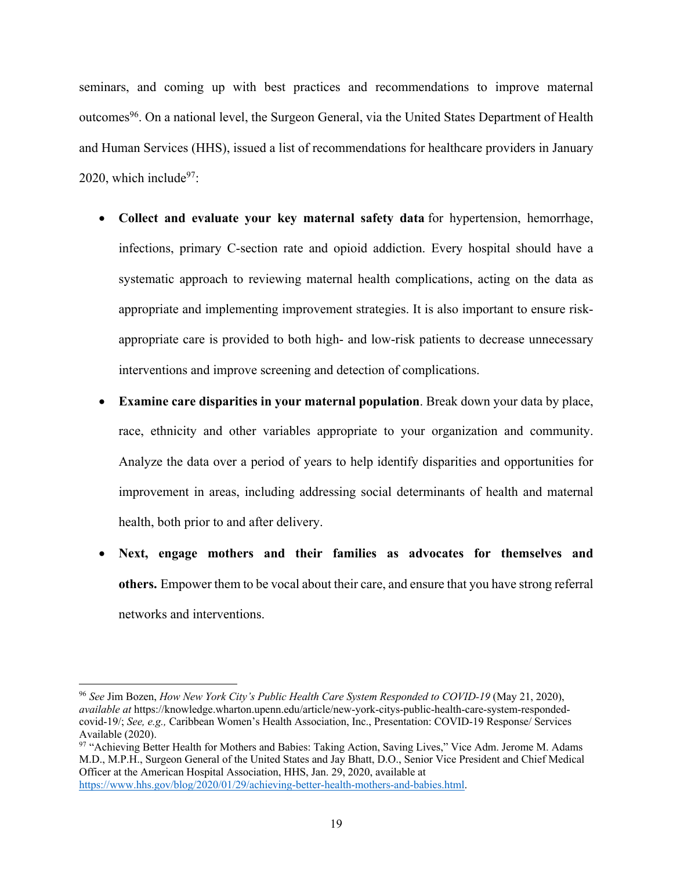seminars, and coming up with best practices and recommendations to improve maternal outcomes<sup>96</sup>. On a national level, the Surgeon General, via the United States Department of Health and Human Services (HHS), issued a list of recommendations for healthcare providers in January 2020, which include $97$ :

- **Collect and evaluate your key maternal safety data** for hypertension, hemorrhage, infections, primary C-section rate and opioid addiction. Every hospital should have a systematic approach to reviewing maternal health complications, acting on the data as appropriate and implementing improvement strategies. It is also important to ensure riskappropriate care is provided to both high- and low-risk patients to decrease unnecessary interventions and improve screening and detection of complications.
- **Examine care disparities in your maternal population**. Break down your data by place, race, ethnicity and other variables appropriate to your organization and community. Analyze the data over a period of years to help identify disparities and opportunities for improvement in areas, including addressing social determinants of health and maternal health, both prior to and after delivery.
- Next, engage mothers and their families as advocates for themselves and **others.** Empower them to be vocal about their care, and ensure that you have strong referral networks and interventions.

97 "Achieving Better Health for Mothers and Babies: Taking Action, Saving Lives," Vice Adm. Jerome M. Adams M.D., M.P.H., Surgeon General of the United States and Jay Bhatt, D.O., Senior Vice President and Chief Medical Officer at the American Hospital Association, HHS, Jan. 29, 2020, available at https://www.hhs.gov/blog/2020/01/29/achieving-better-health-mothers-and-babies.html.

<sup>96</sup> *See* Jim Bozen, *How New York City's Public Health Care System Responded to COVID-19* (May 21, 2020), *available at* https://knowledge.wharton.upenn.edu/article/new-york-citys-public-health-care-system-respondedcovid-19/; *See, e.g.,* Caribbean Women's Health Association, Inc., Presentation: COVID-19 Response/ Services Available (2020).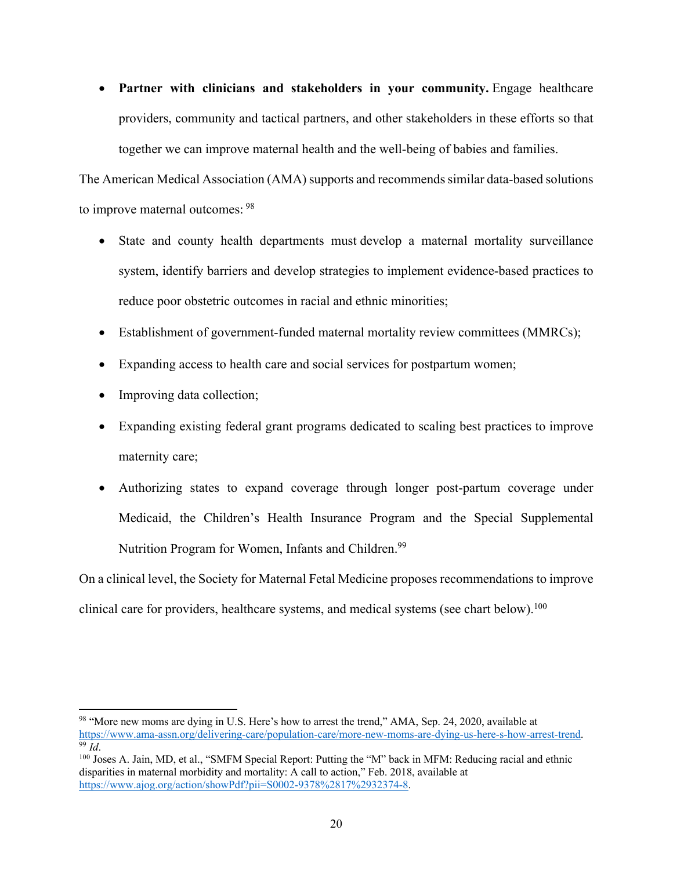• **Partner with clinicians and stakeholders in your community.** Engage healthcare providers, community and tactical partners, and other stakeholders in these efforts so that together we can improve maternal health and the well-being of babies and families.

The American Medical Association (AMA) supports and recommends similar data-based solutions to improve maternal outcomes: <sup>98</sup>

- State and county health departments must develop a maternal mortality surveillance system, identify barriers and develop strategies to implement evidence-based practices to reduce poor obstetric outcomes in racial and ethnic minorities;
- Establishment of government-funded maternal mortality review committees (MMRCs);
- Expanding access to health care and social services for postpartum women;
- Improving data collection;
- Expanding existing federal grant programs dedicated to scaling best practices to improve maternity care;
- Authorizing states to expand coverage through longer post-partum coverage under Medicaid, the Children's Health Insurance Program and the Special Supplemental Nutrition Program for Women, Infants and Children.<sup>99</sup>

On a clinical level, the Society for Maternal Fetal Medicine proposes recommendations to improve clinical care for providers, healthcare systems, and medical systems (see chart below).<sup>100</sup>

<sup>98 &</sup>quot;More new moms are dying in U.S. Here's how to arrest the trend," AMA, Sep. 24, 2020, available at https://www.ama-assn.org/delivering-care/population-care/more-new-moms-are-dying-us-here-s-how-arrest-trend. <sup>99</sup> *Id*.

<sup>100</sup> Joses A. Jain, MD, et al., "SMFM Special Report: Putting the "M" back in MFM: Reducing racial and ethnic disparities in maternal morbidity and mortality: A call to action," Feb. 2018, available at https://www.ajog.org/action/showPdf?pii=S0002-9378%2817%2932374-8.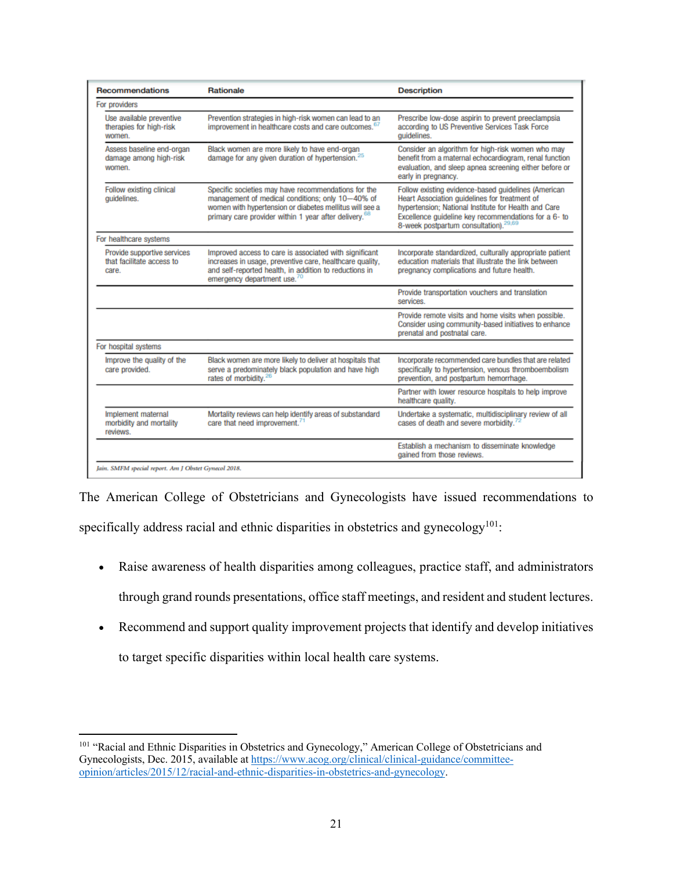| <b>Recommendations</b>                                            | <b>Rationale</b>                                                                                                                                                                                                                        | <b>Description</b>                                                                                                                                                                                                                                                        |
|-------------------------------------------------------------------|-----------------------------------------------------------------------------------------------------------------------------------------------------------------------------------------------------------------------------------------|---------------------------------------------------------------------------------------------------------------------------------------------------------------------------------------------------------------------------------------------------------------------------|
| For providers                                                     |                                                                                                                                                                                                                                         |                                                                                                                                                                                                                                                                           |
| Use available preventive<br>therapies for high-risk<br>women.     | Prevention strategies in high-risk women can lead to an<br>improvement in healthcare costs and care outcomes. <sup>67</sup>                                                                                                             | Prescribe low-dose aspirin to prevent preeclampsia<br>according to US Preventive Services Task Force<br>quidelines.                                                                                                                                                       |
| Assess baseline end-organ<br>damage among high-risk<br>women.     | Black women are more likely to have end-organ<br>damage for any given duration of hypertension. <sup>25</sup>                                                                                                                           | Consider an algorithm for high-risk women who may<br>benefit from a maternal echocardiogram, renal function<br>evaluation, and sleep apnea screening either before or<br>early in pregnancy.                                                                              |
| Follow existing clinical<br>quidelines.                           | Specific societies may have recommendations for the<br>management of medical conditions; only 10-40% of<br>women with hypertension or diabetes mellitus will see a<br>primary care provider within 1 year after delivery. <sup>68</sup> | Follow existing evidence-based guidelines (American<br>Heart Association guidelines for treatment of<br>hypertension; National Institute for Health and Care<br>Excellence guideline key recommendations for a 6- to<br>8-week postpartum consultation). <sup>29,69</sup> |
| For healthcare systems                                            |                                                                                                                                                                                                                                         |                                                                                                                                                                                                                                                                           |
| Provide supportive services<br>that facilitate access to<br>care. | Improved access to care is associated with significant<br>increases in usage, preventive care, healthcare quality,<br>and self-reported health, in addition to reductions in<br>emergency department use. <sup>70</sup>                 | Incorporate standardized, culturally appropriate patient<br>education materials that illustrate the link between<br>pregnancy complications and future health.                                                                                                            |
|                                                                   |                                                                                                                                                                                                                                         | Provide transportation vouchers and translation<br>services.                                                                                                                                                                                                              |
|                                                                   |                                                                                                                                                                                                                                         | Provide remote visits and home visits when possible.<br>Consider using community-based initiatives to enhance<br>prenatal and postnatal care.                                                                                                                             |
| For hospital systems                                              |                                                                                                                                                                                                                                         |                                                                                                                                                                                                                                                                           |
| Improve the quality of the<br>care provided.                      | Black women are more likely to deliver at hospitals that<br>serve a predominately black population and have high<br>rates of morbidity. <sup>26</sup>                                                                                   | Incorporate recommended care bundles that are related<br>specifically to hypertension, venous thromboembolism<br>prevention, and postpartum hemorrhage.                                                                                                                   |
|                                                                   |                                                                                                                                                                                                                                         | Partner with lower resource hospitals to help improve<br>healthcare quality.                                                                                                                                                                                              |
| Implement maternal<br>morbidity and mortality<br>reviews.         | Mortality reviews can help identify areas of substandard<br>care that need improvement. <sup>71</sup>                                                                                                                                   | Undertake a systematic, multidisciplinary review of all<br>cases of death and severe morbidity. <sup>72</sup>                                                                                                                                                             |
|                                                                   |                                                                                                                                                                                                                                         | Establish a mechanism to disseminate knowledge<br>gained from those reviews.                                                                                                                                                                                              |

The American College of Obstetricians and Gynecologists have issued recommendations to specifically address racial and ethnic disparities in obstetrics and gynecology $101$ :

- Raise awareness of health disparities among colleagues, practice staff, and administrators through grand rounds presentations, office staff meetings, and resident and student lectures.
- Recommend and support quality improvement projects that identify and develop initiatives to target specific disparities within local health care systems.

<sup>&</sup>lt;sup>101</sup> "Racial and Ethnic Disparities in Obstetrics and Gynecology," American College of Obstetricians and Gynecologists, Dec. 2015, available at https://www.acog.org/clinical/clinical-guidance/committeeopinion/articles/2015/12/racial-and-ethnic-disparities-in-obstetrics-and-gynecology.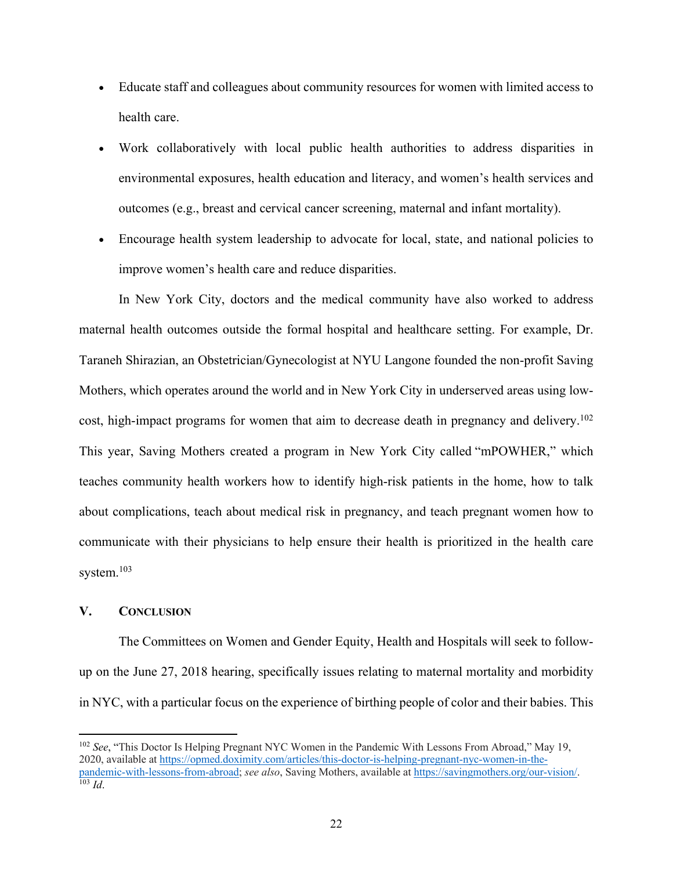- Educate staff and colleagues about community resources for women with limited access to health care.
- Work collaboratively with local public health authorities to address disparities in environmental exposures, health education and literacy, and women's health services and outcomes (e.g., breast and cervical cancer screening, maternal and infant mortality).
- Encourage health system leadership to advocate for local, state, and national policies to improve women's health care and reduce disparities.

In New York City, doctors and the medical community have also worked to address maternal health outcomes outside the formal hospital and healthcare setting. For example, Dr. Taraneh Shirazian, an Obstetrician/Gynecologist at NYU Langone founded the non-profit Saving Mothers, which operates around the world and in New York City in underserved areas using lowcost, high-impact programs for women that aim to decrease death in pregnancy and delivery.<sup>102</sup> This year, Saving Mothers created a program in New York City called "mPOWHER," which teaches community health workers how to identify high-risk patients in the home, how to talk about complications, teach about medical risk in pregnancy, and teach pregnant women how to communicate with their physicians to help ensure their health is prioritized in the health care system.<sup>103</sup>

## **V. CONCLUSION**

The Committees on Women and Gender Equity, Health and Hospitals will seek to followup on the June 27, 2018 hearing, specifically issues relating to maternal mortality and morbidity in NYC, with a particular focus on the experience of birthing people of color and their babies. This

<sup>102</sup> *See*, "This Doctor Is Helping Pregnant NYC Women in the Pandemic With Lessons From Abroad," May 19, 2020, available at https://opmed.doximity.com/articles/this-doctor-is-helping-pregnant-nyc-women-in-thepandemic-with-lessons-from-abroad; *see also*, Saving Mothers, available at https://savingmothers.org/our-vision/. 103 *Id.*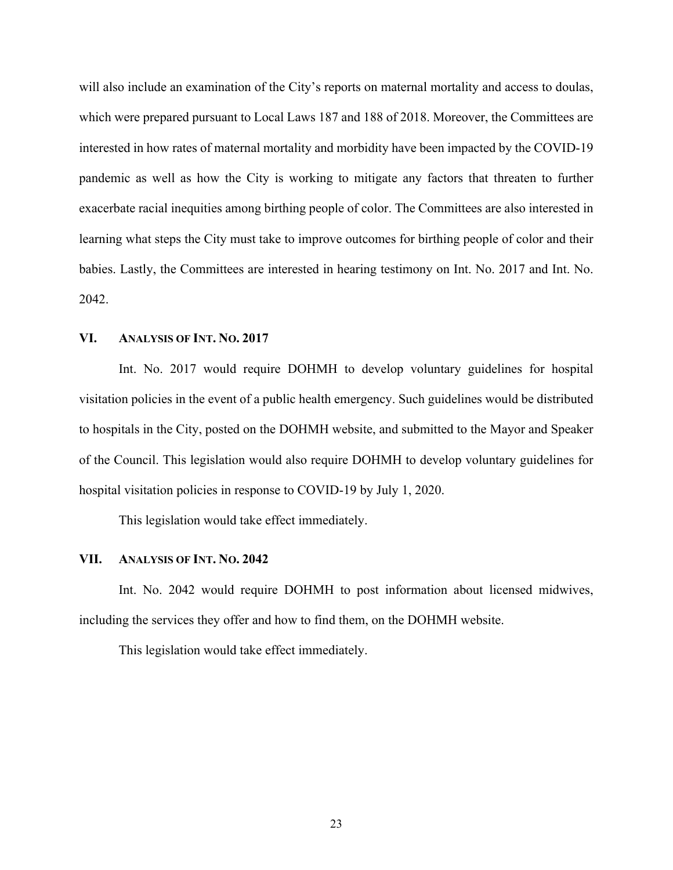will also include an examination of the City's reports on maternal mortality and access to doulas, which were prepared pursuant to Local Laws 187 and 188 of 2018. Moreover, the Committees are interested in how rates of maternal mortality and morbidity have been impacted by the COVID-19 pandemic as well as how the City is working to mitigate any factors that threaten to further exacerbate racial inequities among birthing people of color. The Committees are also interested in learning what steps the City must take to improve outcomes for birthing people of color and their babies. Lastly, the Committees are interested in hearing testimony on Int. No. 2017 and Int. No. 2042.

# **VI. ANALYSIS OF INT. NO. 2017**

Int. No. 2017 would require DOHMH to develop voluntary guidelines for hospital visitation policies in the event of a public health emergency. Such guidelines would be distributed to hospitals in the City, posted on the DOHMH website, and submitted to the Mayor and Speaker of the Council. This legislation would also require DOHMH to develop voluntary guidelines for hospital visitation policies in response to COVID-19 by July 1, 2020.

This legislation would take effect immediately.

## **VII. ANALYSIS OF INT. NO. 2042**

Int. No. 2042 would require DOHMH to post information about licensed midwives, including the services they offer and how to find them, on the DOHMH website.

This legislation would take effect immediately.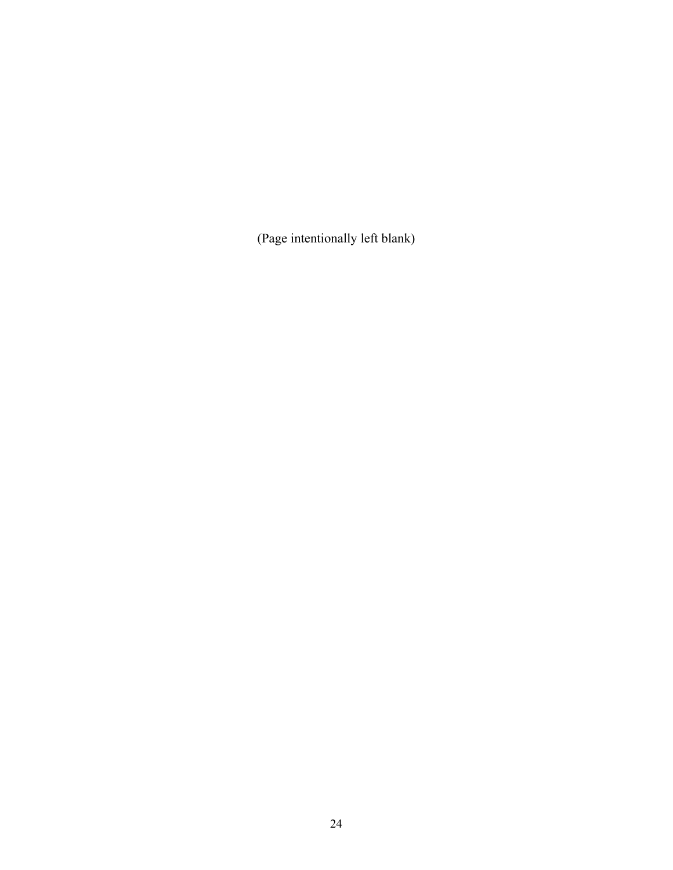(Page intentionally left blank)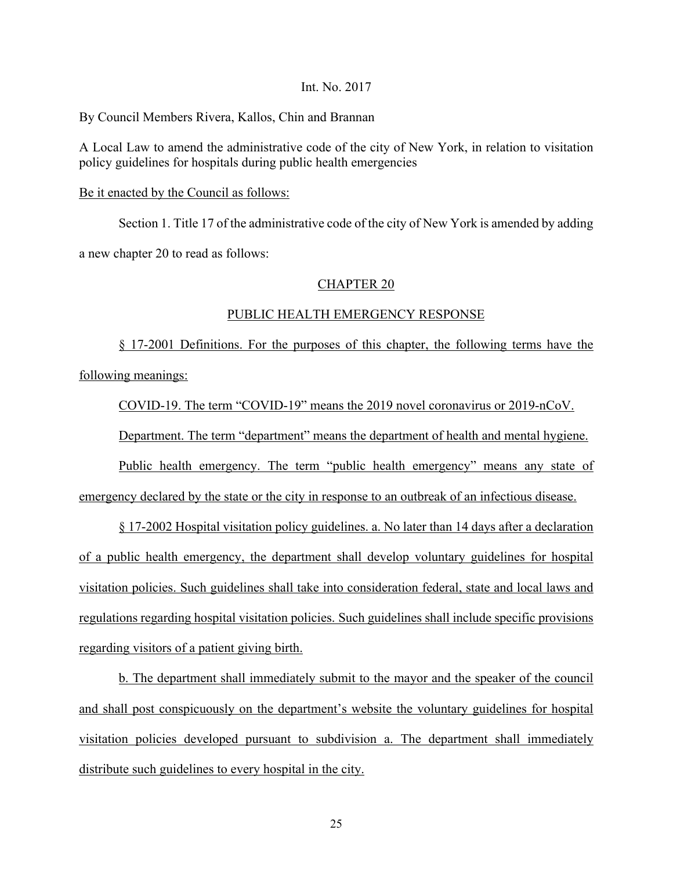## Int. No. 2017

By Council Members Rivera, Kallos, Chin and Brannan

A Local Law to amend the administrative code of the city of New York, in relation to visitation policy guidelines for hospitals during public health emergencies

#### Be it enacted by the Council as follows:

Section 1. Title 17 of the administrative code of the city of New York is amended by adding a new chapter 20 to read as follows:

#### CHAPTER 20

#### PUBLIC HEALTH EMERGENCY RESPONSE

§ 17-2001 Definitions. For the purposes of this chapter, the following terms have the following meanings:

COVID-19. The term "COVID-19" means the 2019 novel coronavirus or 2019-nCoV.

Department. The term "department" means the department of health and mental hygiene.

Public health emergency. The term "public health emergency" means any state of

emergency declared by the state or the city in response to an outbreak of an infectious disease.

§ 17-2002 Hospital visitation policy guidelines. a. No later than 14 days after a declaration of a public health emergency, the department shall develop voluntary guidelines for hospital visitation policies. Such guidelines shall take into consideration federal, state and local laws and regulations regarding hospital visitation policies. Such guidelines shall include specific provisions regarding visitors of a patient giving birth.

b. The department shall immediately submit to the mayor and the speaker of the council and shall post conspicuously on the department's website the voluntary guidelines for hospital visitation policies developed pursuant to subdivision a. The department shall immediately distribute such guidelines to every hospital in the city.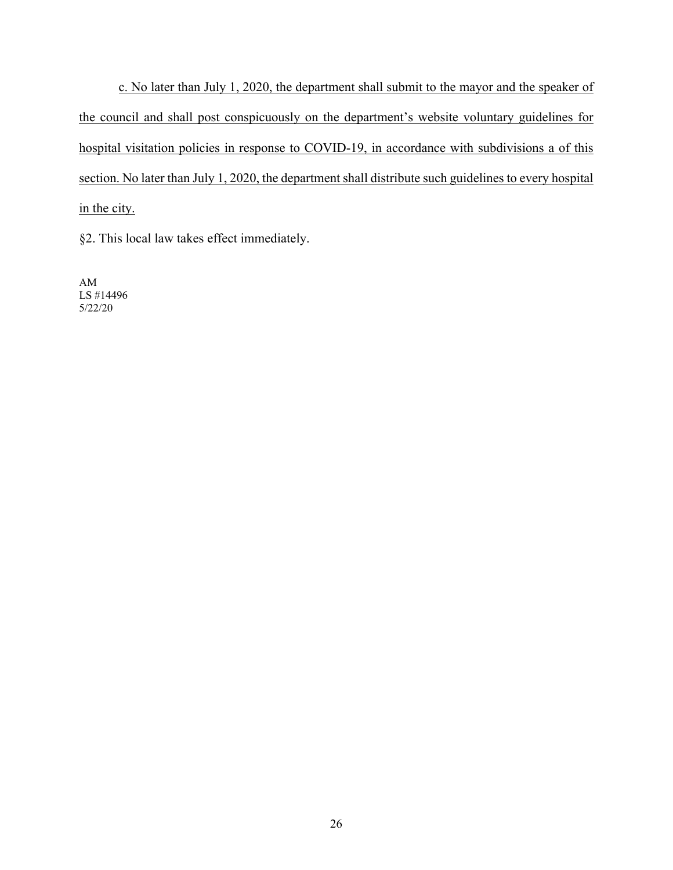c. No later than July 1, 2020, the department shall submit to the mayor and the speaker of the council and shall post conspicuously on the department's website voluntary guidelines for hospital visitation policies in response to COVID-19, in accordance with subdivisions a of this section. No later than July 1, 2020, the department shall distribute such guidelines to every hospital in the city.

§2. This local law takes effect immediately.

AM LS #14496 5/22/20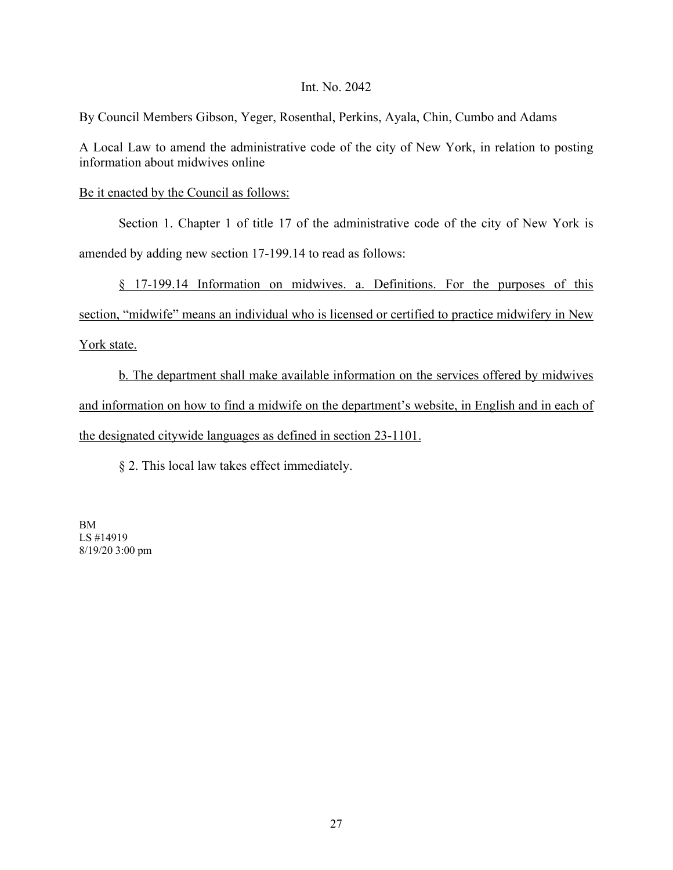# Int. No. 2042

By Council Members Gibson, Yeger, Rosenthal, Perkins, Ayala, Chin, Cumbo and Adams

A Local Law to amend the administrative code of the city of New York, in relation to posting information about midwives online

# Be it enacted by the Council as follows:

Section 1. Chapter 1 of title 17 of the administrative code of the city of New York is amended by adding new section 17-199.14 to read as follows:

§ 17-199.14 Information on midwives. a. Definitions. For the purposes of this section, "midwife" means an individual who is licensed or certified to practice midwifery in New

York state.

b. The department shall make available information on the services offered by midwives and information on how to find a midwife on the department's website, in English and in each of the designated citywide languages as defined in section 23-1101.

§ 2. This local law takes effect immediately.

BM LS #14919 8/19/20 3:00 pm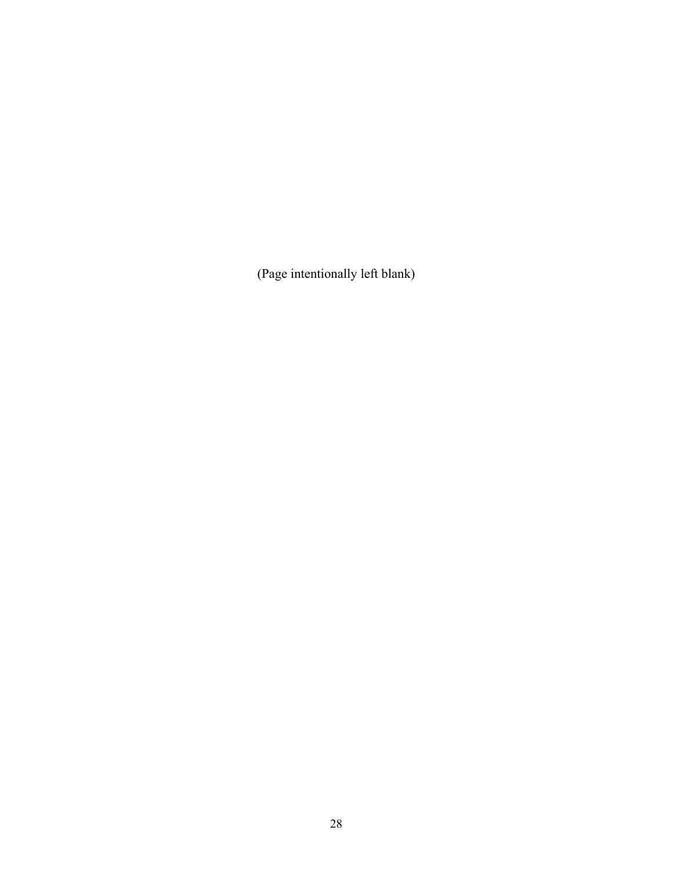(Page intentionally left blank)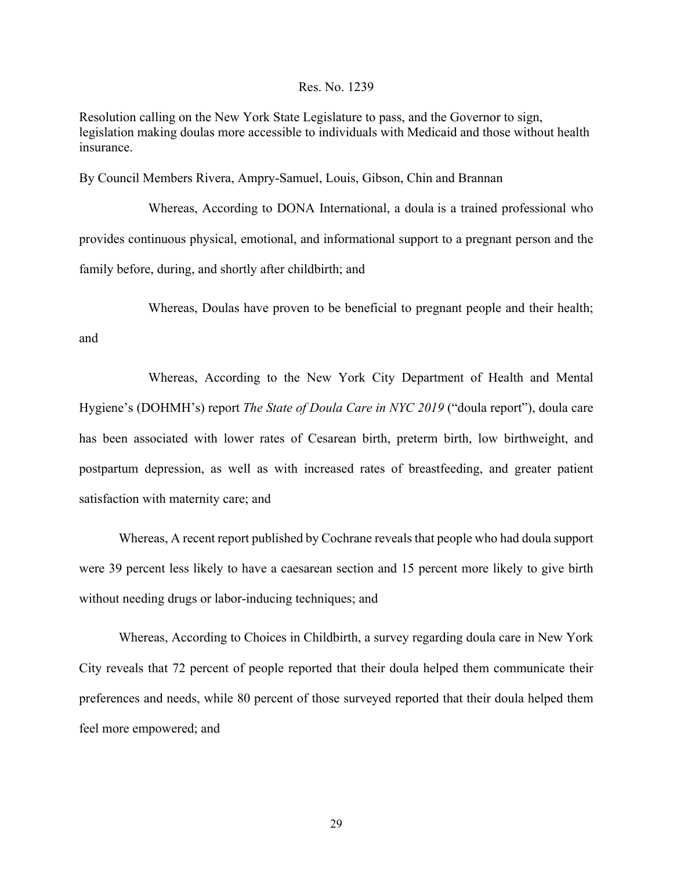#### Res. No. 1239

Resolution calling on the New York State Legislature to pass, and the Governor to sign, legislation making doulas more accessible to individuals with Medicaid and those without health insurance.

By Council Members Rivera, Ampry-Samuel, Louis, Gibson, Chin and Brannan

 Whereas, According to DONA International, a doula is a trained professional who provides continuous physical, emotional, and informational support to a pregnant person and the family before, during, and shortly after childbirth; and

Whereas, Doulas have proven to be beneficial to pregnant people and their health;

and

 Whereas, According to the New York City Department of Health and Mental Hygiene's (DOHMH's) report *The State of Doula Care in NYC 2019* ("doula report"), doula care has been associated with lower rates of Cesarean birth, preterm birth, low birthweight, and postpartum depression, as well as with increased rates of breastfeeding, and greater patient satisfaction with maternity care; and

Whereas, A recent report published by Cochrane reveals that people who had doula support were 39 percent less likely to have a caesarean section and 15 percent more likely to give birth without needing drugs or labor-inducing techniques; and

Whereas, According to Choices in Childbirth, a survey regarding doula care in New York City reveals that 72 percent of people reported that their doula helped them communicate their preferences and needs, while 80 percent of those surveyed reported that their doula helped them feel more empowered; and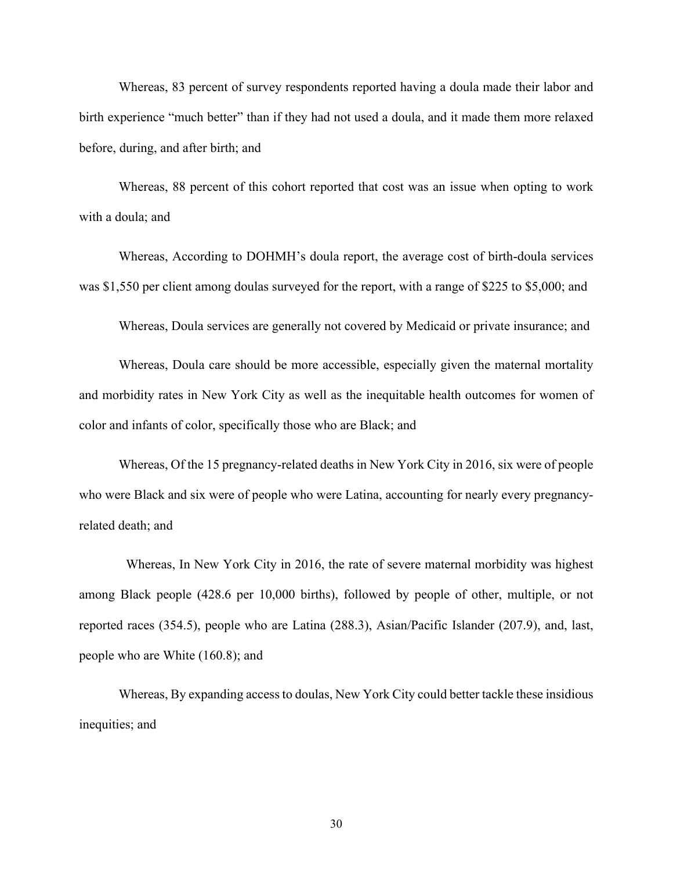Whereas, 83 percent of survey respondents reported having a doula made their labor and birth experience "much better" than if they had not used a doula, and it made them more relaxed before, during, and after birth; and

Whereas, 88 percent of this cohort reported that cost was an issue when opting to work with a doula; and

Whereas, According to DOHMH's doula report, the average cost of birth-doula services was \$1,550 per client among doulas surveyed for the report, with a range of \$225 to \$5,000; and

Whereas, Doula services are generally not covered by Medicaid or private insurance; and

Whereas, Doula care should be more accessible, especially given the maternal mortality and morbidity rates in New York City as well as the inequitable health outcomes for women of color and infants of color, specifically those who are Black; and

Whereas, Of the 15 pregnancy-related deaths in New York City in 2016, six were of people who were Black and six were of people who were Latina, accounting for nearly every pregnancyrelated death; and

Whereas, In New York City in 2016, the rate of severe maternal morbidity was highest among Black people (428.6 per 10,000 births), followed by people of other, multiple, or not reported races (354.5), people who are Latina (288.3), Asian/Pacific Islander (207.9), and, last, people who are White (160.8); and

Whereas, By expanding access to doulas, New York City could better tackle these insidious inequities; and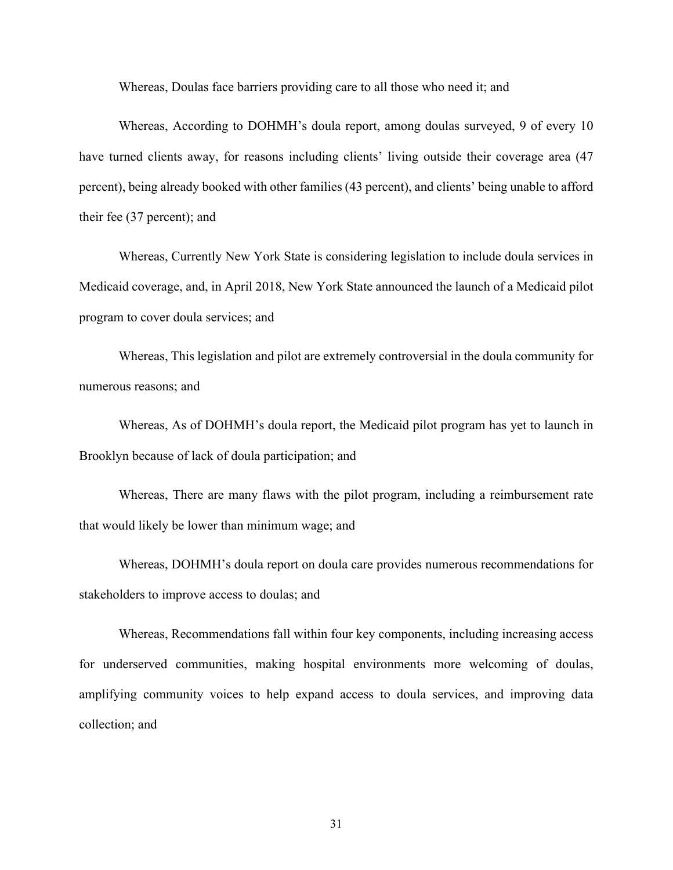Whereas, Doulas face barriers providing care to all those who need it; and

Whereas, According to DOHMH's doula report, among doulas surveyed, 9 of every 10 have turned clients away, for reasons including clients' living outside their coverage area (47 percent), being already booked with other families (43 percent), and clients' being unable to afford their fee (37 percent); and

Whereas, Currently New York State is considering legislation to include doula services in Medicaid coverage, and, in April 2018, New York State announced the launch of a Medicaid pilot program to cover doula services; and

Whereas, This legislation and pilot are extremely controversial in the doula community for numerous reasons; and

Whereas, As of DOHMH's doula report, the Medicaid pilot program has yet to launch in Brooklyn because of lack of doula participation; and

Whereas, There are many flaws with the pilot program, including a reimbursement rate that would likely be lower than minimum wage; and

Whereas, DOHMH's doula report on doula care provides numerous recommendations for stakeholders to improve access to doulas; and

Whereas, Recommendations fall within four key components, including increasing access for underserved communities, making hospital environments more welcoming of doulas, amplifying community voices to help expand access to doula services, and improving data collection; and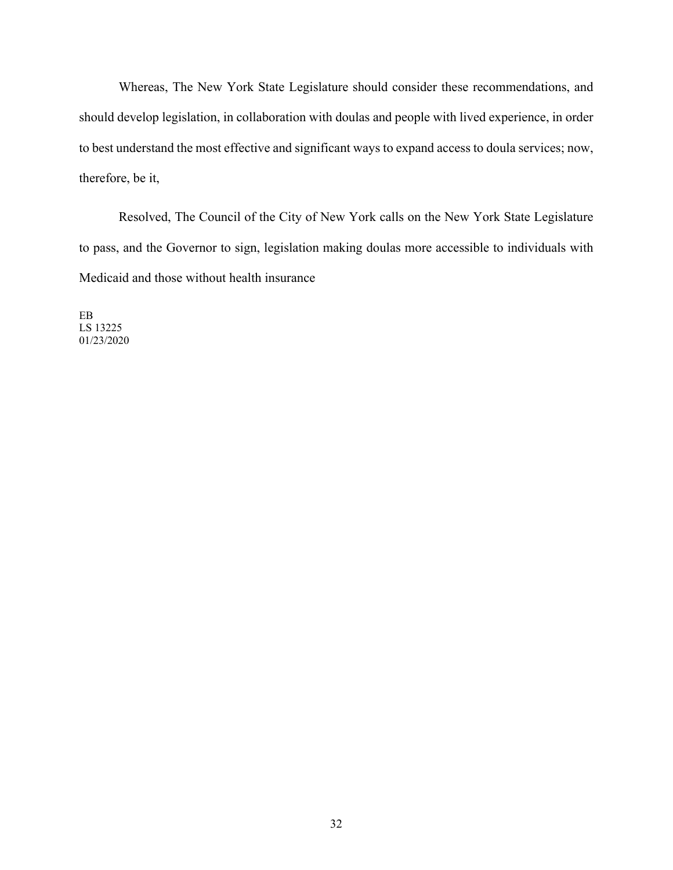Whereas, The New York State Legislature should consider these recommendations, and should develop legislation, in collaboration with doulas and people with lived experience, in order to best understand the most effective and significant ways to expand access to doula services; now, therefore, be it,

Resolved, The Council of the City of New York calls on the New York State Legislature to pass, and the Governor to sign, legislation making doulas more accessible to individuals with Medicaid and those without health insurance

EB LS 13225 01/23/2020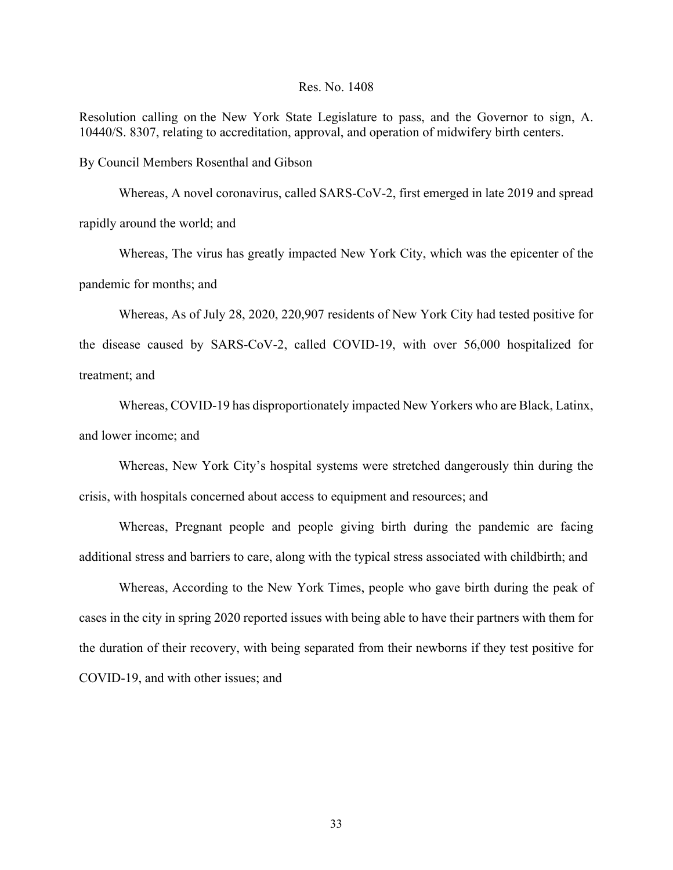#### Res. No. 1408

Resolution calling on the New York State Legislature to pass, and the Governor to sign, A. 10440/S. 8307, relating to accreditation, approval, and operation of midwifery birth centers.

By Council Members Rosenthal and Gibson

Whereas, A novel coronavirus, called SARS-CoV-2, first emerged in late 2019 and spread rapidly around the world; and

Whereas, The virus has greatly impacted New York City, which was the epicenter of the pandemic for months; and

Whereas, As of July 28, 2020, 220,907 residents of New York City had tested positive for the disease caused by SARS-CoV-2, called COVID-19, with over 56,000 hospitalized for treatment; and

Whereas, COVID-19 has disproportionately impacted New Yorkers who are Black, Latinx, and lower income; and

Whereas, New York City's hospital systems were stretched dangerously thin during the crisis, with hospitals concerned about access to equipment and resources; and

Whereas, Pregnant people and people giving birth during the pandemic are facing additional stress and barriers to care, along with the typical stress associated with childbirth; and

Whereas, According to the New York Times, people who gave birth during the peak of cases in the city in spring 2020 reported issues with being able to have their partners with them for the duration of their recovery, with being separated from their newborns if they test positive for COVID-19, and with other issues; and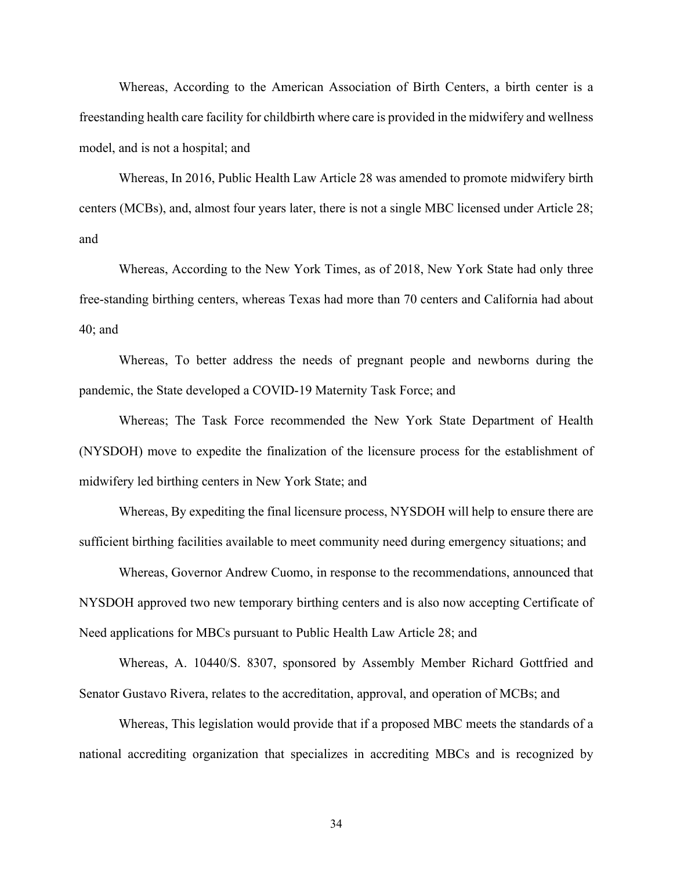Whereas, According to the American Association of Birth Centers, a birth center is a freestanding health care facility for childbirth where care is provided in the midwifery and wellness model, and is not a hospital; and

Whereas, In 2016, Public Health Law Article 28 was amended to promote midwifery birth centers (MCBs), and, almost four years later, there is not a single MBC licensed under Article 28; and

Whereas, According to the New York Times, as of 2018, New York State had only three free-standing birthing centers, whereas Texas had more than 70 centers and California had about 40; and

Whereas, To better address the needs of pregnant people and newborns during the pandemic, the State developed a COVID-19 Maternity Task Force; and

Whereas; The Task Force recommended the New York State Department of Health (NYSDOH) move to expedite the finalization of the licensure process for the establishment of midwifery led birthing centers in New York State; and

Whereas, By expediting the final licensure process, NYSDOH will help to ensure there are sufficient birthing facilities available to meet community need during emergency situations; and

Whereas, Governor Andrew Cuomo, in response to the recommendations, announced that NYSDOH approved two new temporary birthing centers and is also now accepting Certificate of Need applications for MBCs pursuant to Public Health Law Article 28; and

Whereas, A. 10440/S. 8307, sponsored by Assembly Member Richard Gottfried and Senator Gustavo Rivera, relates to the accreditation, approval, and operation of MCBs; and

Whereas, This legislation would provide that if a proposed MBC meets the standards of a national accrediting organization that specializes in accrediting MBCs and is recognized by

34